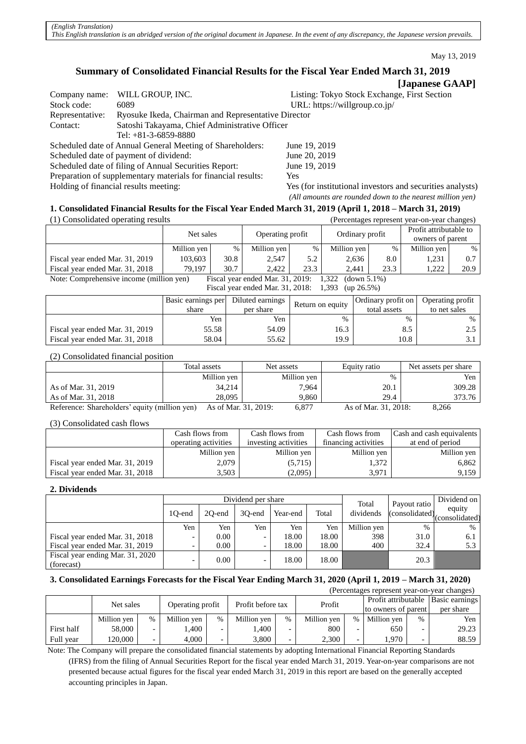May 13, 2019

# **Summary of Consolidated Financial Results for the Fiscal Year Ended March 31, 2019**

# **[Japanese GAAP]**

| Company name:   | WILL GROUP, INC.                                              | Listing: Tokyo Stock Exchange, First Section              |
|-----------------|---------------------------------------------------------------|-----------------------------------------------------------|
| Stock code:     | 6089                                                          | URL: https://willgroup.co.jp/                             |
| Representative: | Ryosuke Ikeda, Chairman and Representative Director           |                                                           |
| Contact:        | Satoshi Takayama, Chief Administrative Officer                |                                                           |
|                 | Tel: $+81-3-6859-8880$                                        |                                                           |
|                 | Scheduled date of Annual General Meeting of Shareholders:     | June 19, 2019                                             |
|                 | Scheduled date of payment of dividend:                        | June 20, 2019                                             |
|                 | Scheduled date of filing of Annual Securities Report:         | June 19, 2019                                             |
|                 | Preparation of supplementary materials for financial results: | Yes                                                       |
|                 | Holding of financial results meeting:                         | Yes (for institutional investors and securities analysts) |
|                 |                                                               | (All amounts are rounded down to the nearest million yen) |

# **1. Consolidated Financial Results for the Fiscal Year Ended March 31, 2019 (April 1, 2018 – March 31, 2019)**

| (1) Consolidated operating results                                                                      |             |      |                  |      |             |                 | (Percentages represent year-on-year changes) |                        |  |
|---------------------------------------------------------------------------------------------------------|-------------|------|------------------|------|-------------|-----------------|----------------------------------------------|------------------------|--|
| Net sales                                                                                               |             |      | Operating profit |      |             | Ordinary profit |                                              | Profit attributable to |  |
|                                                                                                         |             |      |                  |      |             |                 | owners of parent                             |                        |  |
|                                                                                                         | Million yen | $\%$ | Million yen      | %    | Million yen | %               | Million yen                                  | %                      |  |
| Fiscal year ended Mar. 31, 2019                                                                         | 103.603     | 30.8 | 2.547            | 5.2  | 2,636       | 8.0             | 1.231                                        | 0.7                    |  |
| Fiscal year ended Mar. 31, 2018                                                                         | 79.197      | 30.7 | 2.422            | 23.3 | 2.441       | 23.3            | 1.222                                        | 20.9                   |  |
| Note: Comprehensive income (million yen)<br>Fiscal year ended Mar. 31, 2019:<br>1,322<br>$(down 5.1\%)$ |             |      |                  |      |             |                 |                                              |                        |  |

Fiscal year ended Mar. 31, 2018: 1,393 (up 26.5%)

|                                 | Basic earnings per<br>share | Diluted earnings<br>per share | Return on equity | Ordinary profit on<br>total assets | Operating profit<br>to net sales |
|---------------------------------|-----------------------------|-------------------------------|------------------|------------------------------------|----------------------------------|
|                                 | Yen                         | Yen                           | $\frac{0}{0}$    | %                                  | %                                |
| Fiscal year ended Mar. 31, 2019 | 55.58                       | 54.09                         | 16.3             | 8.5                                |                                  |
| Fiscal year ended Mar. 31, 2018 | 58.04                       | 55.62                         | 19.9             | 10.8                               |                                  |

(2) Consolidated financial position

|                                               | Total assets         | Net assets  | Equity ratio         | Net assets per share |
|-----------------------------------------------|----------------------|-------------|----------------------|----------------------|
|                                               | Million yen          | Million yen | %                    | Yen                  |
| As of Mar. 31, 2019                           | 34,214               | 7.964       | 20.1                 | 309.28               |
| As of Mar. 31, 2018                           | 28,095               | 9.860       | 29.4                 | 373.76               |
| Reference: Shareholders' equity (million yen) | As of Mar. 31, 2019: | 6.877       | As of Mar. 31, 2018: | 8.266                |

(3) Consolidated cash flows

|                                 | Cash flows from      | Cash flows from      | Cash flows from      | Cash and cash equivalents |
|---------------------------------|----------------------|----------------------|----------------------|---------------------------|
|                                 | operating activities | investing activities | financing activities | at end of period          |
|                                 | Million yen          | Million yen          | Million yen          | Million yen               |
| Fiscal year ended Mar. 31, 2019 | 2.079                | (5,715)              | 1.372                | 6.862                     |
| Fiscal year ended Mar. 31, 2018 | 3,503                | (2,095)              | 3.971                | 9,159                     |

# **2. Dividends**

|                                                |                          |          | Dividend per share       | Total    | Payout ratio | Dividend on |      |                                                |
|------------------------------------------------|--------------------------|----------|--------------------------|----------|--------------|-------------|------|------------------------------------------------|
|                                                | 10-end                   | 20-end   | 30-end                   | Year-end | Total        | dividends   |      | equity<br>$\int$ (consolidated) (consolidated) |
|                                                | Yen                      | Yen      | Yen                      | Yen      | Yen          | Million yen | $\%$ | $\%$                                           |
| Fiscal year ended Mar. 31, 2018                |                          | 0.00     |                          | 18.00    | 18.00        | 398         | 31.0 | 6.1                                            |
| Fiscal year ended Mar. 31, 2019                | $\overline{\phantom{0}}$ | $0.00\,$ | $\overline{\phantom{0}}$ | 18.00    | 18.00        | 400         | 32.4 | 5.3                                            |
| Fiscal year ending Mar. 31, 2020<br>(forecast) | -                        | 0.00     | $\overline{\phantom{0}}$ | 18.00    | 18.00        |             | 20.3 |                                                |

# **3. Consolidated Earnings Forecasts for the Fiscal Year Ending March 31, 2020 (April 1, 2019 – March 31, 2020)**

| (Percentages represent year-on-year changes) |             |                          |                  |     |                   |      |             |      |                     |      |                |  |  |  |                     |  |           |
|----------------------------------------------|-------------|--------------------------|------------------|-----|-------------------|------|-------------|------|---------------------|------|----------------|--|--|--|---------------------|--|-----------|
|                                              | Net sales   |                          | Operating profit |     | Profit before tax |      | Profit      |      | Profit attributable |      | Basic earnings |  |  |  |                     |  |           |
|                                              |             |                          |                  |     |                   |      |             |      |                     |      |                |  |  |  | to owners of parent |  | per share |
|                                              | Million yen | %                        | Million yen      | %   | Million yen       | $\%$ | Million yen | $\%$ | Million yen         | $\%$ | Yen            |  |  |  |                     |  |           |
| First half                                   | 58,000      | $\overline{\phantom{0}}$ | .400             | - - | ۔400              |      | 800         |      | 650                 |      | 29.23          |  |  |  |                     |  |           |
| Full vear                                    | 120.000     | $\overline{\phantom{0}}$ | 4.000            | -   | 3,800             |      | 2,300       |      | .,970               |      | 88.59          |  |  |  |                     |  |           |

Note: The Company will prepare the consolidated financial statements by adopting International Financial Reporting Standards (IFRS) from the filing of Annual Securities Report for the fiscal year ended March 31, 2019. Year-on-year comparisons are not presented because actual figures for the fiscal year ended March 31, 2019 in this report are based on the generally accepted accounting principles in Japan.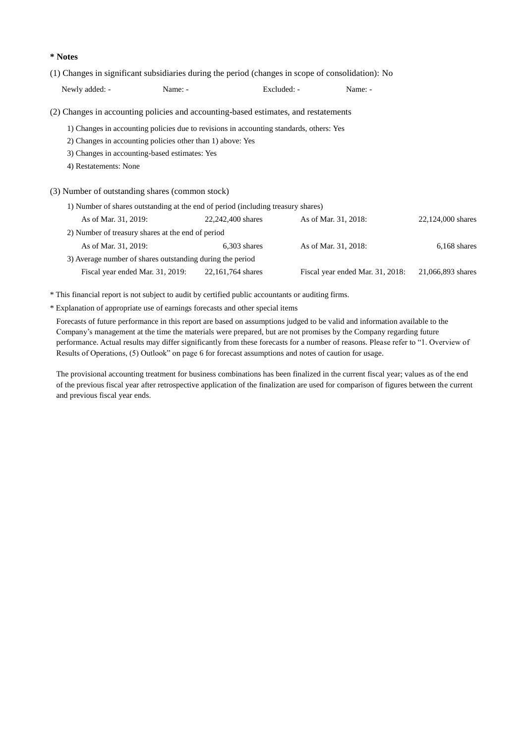#### **\* Notes**

(1) Changes in significant subsidiaries during the period (changes in scope of consolidation): No

Newly added: - Name: - Excluded: - Name: -

(2) Changes in accounting policies and accounting-based estimates, and restatements

1) Changes in accounting policies due to revisions in accounting standards, others: Yes

2) Changes in accounting policies other than 1) above: Yes

3) Changes in accounting-based estimates: Yes

4) Restatements: None

(3) Number of outstanding shares (common stock)

| 22,124,000 shares |
|-------------------|
|                   |
| $6,168$ shares    |
|                   |
| 21,066,893 shares |
|                   |

\* This financial report is not subject to audit by certified public accountants or auditing firms.

\* Explanation of appropriate use of earnings forecasts and other special items

Forecasts of future performance in this report are based on assumptions judged to be valid and information available to the Company's management at the time the materials were prepared, but are not promises by the Company regarding future performance. Actual results may differ significantly from these forecasts for a number of reasons. Please refer to "1. Overview of Results of Operations, (5) Outlook" on page 6 for forecast assumptions and notes of caution for usage.

The provisional accounting treatment for business combinations has been finalized in the current fiscal year; values as of the end of the previous fiscal year after retrospective application of the finalization are used for comparison of figures between the current and previous fiscal year ends.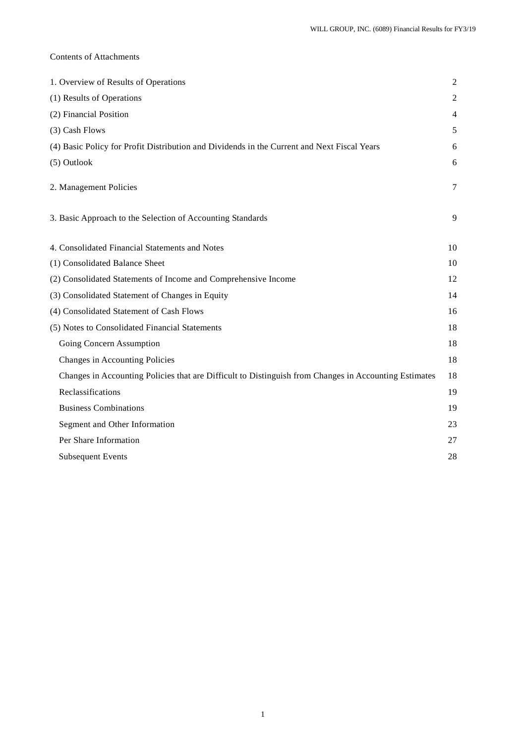# Contents of Attachments

| 1. Overview of Results of Operations                                                                  | $\mathfrak{2}$ |
|-------------------------------------------------------------------------------------------------------|----------------|
| (1) Results of Operations                                                                             | 2              |
| (2) Financial Position                                                                                | $\overline{4}$ |
| (3) Cash Flows                                                                                        | 5              |
| (4) Basic Policy for Profit Distribution and Dividends in the Current and Next Fiscal Years           | 6              |
| (5) Outlook                                                                                           | 6              |
| 2. Management Policies                                                                                | $\tau$         |
| 3. Basic Approach to the Selection of Accounting Standards                                            | 9              |
| 4. Consolidated Financial Statements and Notes                                                        | 10             |
| (1) Consolidated Balance Sheet                                                                        | 10             |
| (2) Consolidated Statements of Income and Comprehensive Income                                        | 12             |
| (3) Consolidated Statement of Changes in Equity                                                       | 14             |
| (4) Consolidated Statement of Cash Flows                                                              | 16             |
| (5) Notes to Consolidated Financial Statements                                                        | 18             |
| Going Concern Assumption                                                                              | 18             |
| Changes in Accounting Policies                                                                        | 18             |
| Changes in Accounting Policies that are Difficult to Distinguish from Changes in Accounting Estimates | 18             |
| Reclassifications                                                                                     | 19             |
| <b>Business Combinations</b>                                                                          | 19             |
| Segment and Other Information                                                                         | 23             |
| Per Share Information                                                                                 | 27             |
| <b>Subsequent Events</b>                                                                              | 28             |
|                                                                                                       |                |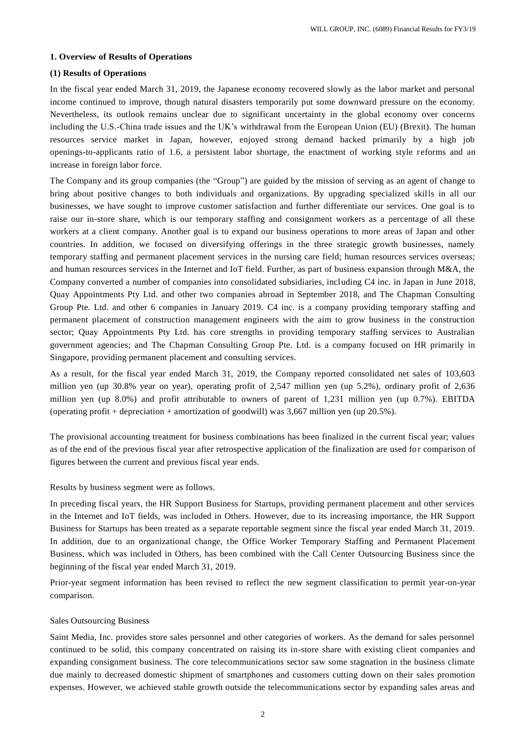### **1. Overview of Results of Operations**

# **(1) Results of Operations**

In the fiscal year ended March 31, 2019, the Japanese economy recovered slowly as the labor market and personal income continued to improve, though natural disasters temporarily put some downward pressure on the economy. Nevertheless, its outlook remains unclear due to significant uncertainty in the global economy over concerns including the U.S.-China trade issues and the UK's withdrawal from the European Union (EU) (Brexit). The human resources service market in Japan, however, enjoyed strong demand backed primarily by a high job openings-to-applicants ratio of 1.6, a persistent labor shortage, the enactment of working style reforms and an increase in foreign labor force.

The Company and its group companies (the "Group") are guided by the mission of serving as an agent of change to bring about positive changes to both individuals and organizations. By upgrading specialized skills in all our businesses, we have sought to improve customer satisfaction and further differentiate our services. One goal is to raise our in-store share, which is our temporary staffing and consignment workers as a percentage of all these workers at a client company. Another goal is to expand our business operations to more areas of Japan and other countries. In addition, we focused on diversifying offerings in the three strategic growth businesses, namely temporary staffing and permanent placement services in the nursing care field; human resources services overseas; and human resources services in the Internet and IoT field. Further, as part of business expansion through M&A, the Company converted a number of companies into consolidated subsidiaries, including C4 inc. in Japan in June 2018, Quay Appointments Pty Ltd. and other two companies abroad in September 2018, and The Chapman Consulting Group Pte. Ltd. and other 6 companies in January 2019. C4 inc. is a company providing temporary staffing and permanent placement of construction management engineers with the aim to grow business in the construction sector; Quay Appointments Pty Ltd. has core strengths in providing temporary staffing services to Australian government agencies; and The Chapman Consulting Group Pte. Ltd. is a company focused on HR primarily in Singapore, providing permanent placement and consulting services.

As a result, for the fiscal year ended March 31, 2019, the Company reported consolidated net sales of 103,603 million yen (up 30.8% year on year), operating profit of 2,547 million yen (up 5.2%), ordinary profit of 2,636 million yen (up 8.0%) and profit attributable to owners of parent of 1,231 million yen (up 0.7%). EBITDA (operating profit + depreciation + amortization of goodwill) was  $3,667$  million yen (up 20.5%).

The provisional accounting treatment for business combinations has been finalized in the current fiscal year; values as of the end of the previous fiscal year after retrospective application of the finalization are used for comparison of figures between the current and previous fiscal year ends.

#### Results by business segment were as follows.

In preceding fiscal years, the HR Support Business for Startups, providing permanent placement and other services in the Internet and IoT fields, was included in Others. However, due to its increasing importance, the HR Support Business for Startups has been treated as a separate reportable segment since the fiscal year ended March 31, 2019. In addition, due to an organizational change, the Office Worker Temporary Staffing and Permanent Placement Business, which was included in Others, has been combined with the Call Center Outsourcing Business since the beginning of the fiscal year ended March 31, 2019.

Prior-year segment information has been revised to reflect the new segment classification to permit year-on-year comparison.

#### Sales Outsourcing Business

Saint Media, Inc. provides store sales personnel and other categories of workers. As the demand for sales personnel continued to be solid, this company concentrated on raising its in-store share with existing client companies and expanding consignment business. The core telecommunications sector saw some stagnation in the business climate due mainly to decreased domestic shipment of smartphones and customers cutting down on their sales promotion expenses. However, we achieved stable growth outside the telecommunications sector by expanding sales areas and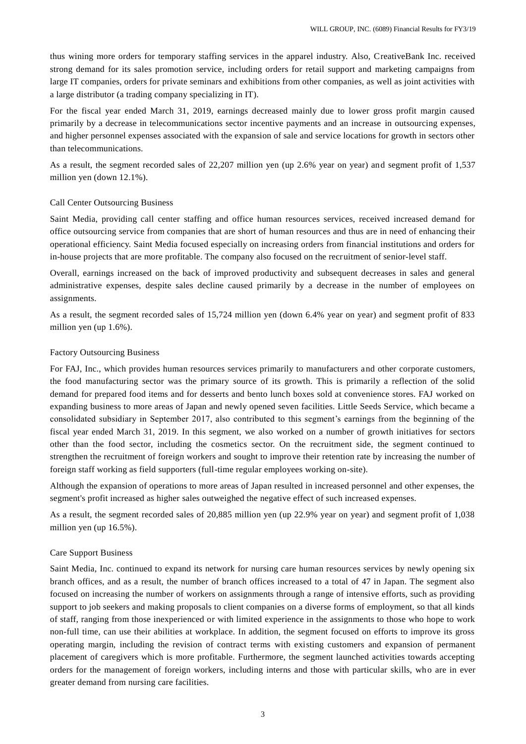thus wining more orders for temporary staffing services in the apparel industry. Also, CreativeBank Inc. received strong demand for its sales promotion service, including orders for retail support and marketing campaigns from large IT companies, orders for private seminars and exhibitions from other companies, as well as joint activities with a large distributor (a trading company specializing in IT).

For the fiscal year ended March 31, 2019, earnings decreased mainly due to lower gross profit margin caused primarily by a decrease in telecommunications sector incentive payments and an increase in outsourcing expenses, and higher personnel expenses associated with the expansion of sale and service locations for growth in sectors other than telecommunications.

As a result, the segment recorded sales of 22,207 million yen (up 2.6% year on year) and segment profit of 1,537 million yen (down 12.1%).

## Call Center Outsourcing Business

Saint Media, providing call center staffing and office human resources services, received increased demand for office outsourcing service from companies that are short of human resources and thus are in need of enhancing their operational efficiency. Saint Media focused especially on increasing orders from financial institutions and orders for in-house projects that are more profitable. The company also focused on the recruitment of senior-level staff.

Overall, earnings increased on the back of improved productivity and subsequent decreases in sales and general administrative expenses, despite sales decline caused primarily by a decrease in the number of employees on assignments.

As a result, the segment recorded sales of 15,724 million yen (down 6.4% year on year) and segment profit of 833 million yen (up 1.6%).

## Factory Outsourcing Business

For FAJ, Inc., which provides human resources services primarily to manufacturers and other corporate customers, the food manufacturing sector was the primary source of its growth. This is primarily a reflection of the solid demand for prepared food items and for desserts and bento lunch boxes sold at convenience stores. FAJ worked on expanding business to more areas of Japan and newly opened seven facilities. Little Seeds Service, which became a consolidated subsidiary in September 2017, also contributed to this segment's earnings from the beginning of the fiscal year ended March 31, 2019. In this segment, we also worked on a number of growth initiatives for sectors other than the food sector, including the cosmetics sector. On the recruitment side, the segment continued to strengthen the recruitment of foreign workers and sought to improve their retention rate by increasing the number of foreign staff working as field supporters (full-time regular employees working on-site).

Although the expansion of operations to more areas of Japan resulted in increased personnel and other expenses, the segment's profit increased as higher sales outweighed the negative effect of such increased expenses.

As a result, the segment recorded sales of 20,885 million yen (up 22.9% year on year) and segment profit of 1,038 million yen (up 16.5%).

## Care Support Business

Saint Media, Inc. continued to expand its network for nursing care human resources services by newly opening six branch offices, and as a result, the number of branch offices increased to a total of 47 in Japan. The segment also focused on increasing the number of workers on assignments through a range of intensive efforts, such as providing support to job seekers and making proposals to client companies on a diverse forms of employment, so that all kinds of staff, ranging from those inexperienced or with limited experience in the assignments to those who hope to work non-full time, can use their abilities at workplace. In addition, the segment focused on efforts to improve its gross operating margin, including the revision of contract terms with existing customers and expansion of permanent placement of caregivers which is more profitable. Furthermore, the segment launched activities towards accepting orders for the management of foreign workers, including interns and those with particular skills, wh o are in ever greater demand from nursing care facilities.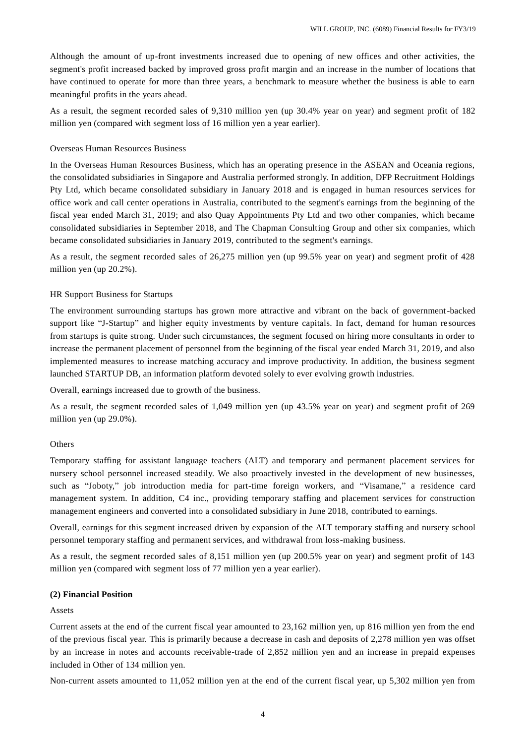Although the amount of up-front investments increased due to opening of new offices and other activities, the segment's profit increased backed by improved gross profit margin and an increase in the number of locations that have continued to operate for more than three years, a benchmark to measure whether the business is able to earn meaningful profits in the years ahead.

As a result, the segment recorded sales of 9,310 million yen (up 30.4% year on year) and segment profit of 182 million yen (compared with segment loss of 16 million yen a year earlier).

# Overseas Human Resources Business

In the Overseas Human Resources Business, which has an operating presence in the ASEAN and Oceania regions, the consolidated subsidiaries in Singapore and Australia performed strongly. In addition, DFP Recruitment Holdings Pty Ltd, which became consolidated subsidiary in January 2018 and is engaged in human resources services for office work and call center operations in Australia, contributed to the segment's earnings from the beginning of the fiscal year ended March 31, 2019; and also Quay Appointments Pty Ltd and two other companies, which became consolidated subsidiaries in September 2018, and The Chapman Consulting Group and other six companies, which became consolidated subsidiaries in January 2019, contributed to the segment's earnings.

As a result, the segment recorded sales of 26,275 million yen (up 99.5% year on year) and segment profit of 428 million yen (up 20.2%).

## HR Support Business for Startups

The environment surrounding startups has grown more attractive and vibrant on the back of government-backed support like "J-Startup" and higher equity investments by venture capitals. In fact, demand for human resources from startups is quite strong. Under such circumstances, the segment focused on hiring more consultants in order to increase the permanent placement of personnel from the beginning of the fiscal year ended March 31, 2019, and also implemented measures to increase matching accuracy and improve productivity. In addition, the business segment launched STARTUP DB, an information platform devoted solely to ever evolving growth industries.

Overall, earnings increased due to growth of the business.

As a result, the segment recorded sales of 1,049 million yen (up 43.5% year on year) and segment profit of 269 million yen (up 29.0%).

## **Others**

Temporary staffing for assistant language teachers (ALT) and temporary and permanent placement services for nursery school personnel increased steadily. We also proactively invested in the development of new businesses, such as "Joboty," job introduction media for part-time foreign workers, and "Visamane," a residence card management system. In addition, C4 inc., providing temporary staffing and placement services for construction management engineers and converted into a consolidated subsidiary in June 2018, contributed to earnings.

Overall, earnings for this segment increased driven by expansion of the ALT temporary staffing and nursery school personnel temporary staffing and permanent services, and withdrawal from loss-making business.

As a result, the segment recorded sales of 8,151 million yen (up 200.5% year on year) and segment profit of 143 million yen (compared with segment loss of 77 million yen a year earlier).

#### **(2) Financial Position**

#### Assets

Current assets at the end of the current fiscal year amounted to 23,162 million yen, up 816 million yen from the end of the previous fiscal year. This is primarily because a decrease in cash and deposits of 2,278 million yen was offset by an increase in notes and accounts receivable-trade of 2,852 million yen and an increase in prepaid expenses included in Other of 134 million yen.

Non-current assets amounted to 11,052 million yen at the end of the current fiscal year, up 5,302 million yen from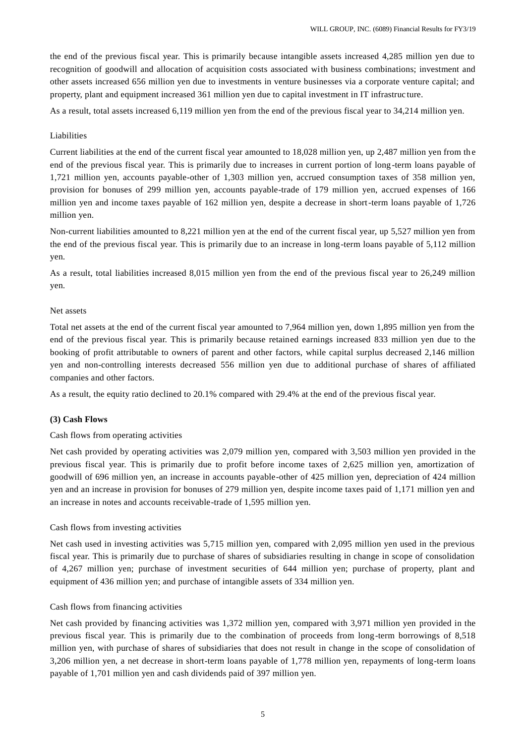the end of the previous fiscal year. This is primarily because intangible assets increased 4,285 million yen due to recognition of goodwill and allocation of acquisition costs associated with business combinations; investment and other assets increased 656 million yen due to investments in venture businesses via a corporate venture capital; and property, plant and equipment increased 361 million yen due to capital investment in IT infrastruc ture.

As a result, total assets increased 6,119 million yen from the end of the previous fiscal year to 34,214 million yen.

# Liabilities

Current liabilities at the end of the current fiscal year amounted to 18,028 million yen, up 2,487 million yen from th e end of the previous fiscal year. This is primarily due to increases in current portion of long -term loans payable of 1,721 million yen, accounts payable-other of 1,303 million yen, accrued consumption taxes of 358 million yen, provision for bonuses of 299 million yen, accounts payable-trade of 179 million yen, accrued expenses of 166 million yen and income taxes payable of 162 million yen, despite a decrease in short-term loans payable of 1,726 million yen.

Non-current liabilities amounted to 8,221 million yen at the end of the current fiscal year, up 5,527 million yen from the end of the previous fiscal year. This is primarily due to an increase in long-term loans payable of 5,112 million yen.

As a result, total liabilities increased 8,015 million yen from the end of the previous fiscal year to 26,249 million yen.

## Net assets

Total net assets at the end of the current fiscal year amounted to 7,964 million yen, down 1,895 million yen from the end of the previous fiscal year. This is primarily because retained earnings increased 833 million yen due to the booking of profit attributable to owners of parent and other factors, while capital surplus decreased 2,146 million yen and non-controlling interests decreased 556 million yen due to additional purchase of shares of affiliated companies and other factors.

As a result, the equity ratio declined to 20.1% compared with 29.4% at the end of the previous fiscal year.

## **(3) Cash Flows**

## Cash flows from operating activities

Net cash provided by operating activities was 2,079 million yen, compared with 3,503 million yen provided in the previous fiscal year. This is primarily due to profit before income taxes of 2,625 million yen, amortization of goodwill of 696 million yen, an increase in accounts payable-other of 425 million yen, depreciation of 424 million yen and an increase in provision for bonuses of 279 million yen, despite income taxes paid of 1,171 million yen and an increase in notes and accounts receivable-trade of 1,595 million yen.

## Cash flows from investing activities

Net cash used in investing activities was 5,715 million yen, compared with 2,095 million yen used in the previous fiscal year. This is primarily due to purchase of shares of subsidiaries resulting in change in scope of consolidation of 4,267 million yen; purchase of investment securities of 644 million yen; purchase of property, plant and equipment of 436 million yen; and purchase of intangible assets of 334 million yen.

## Cash flows from financing activities

Net cash provided by financing activities was 1,372 million yen, compared with 3,971 million yen provided in the previous fiscal year. This is primarily due to the combination of proceeds from long-term borrowings of 8,518 million yen, with purchase of shares of subsidiaries that does not result in change in the scope of consolidation of 3,206 million yen, a net decrease in short-term loans payable of 1,778 million yen, repayments of long-term loans payable of 1,701 million yen and cash dividends paid of 397 million yen.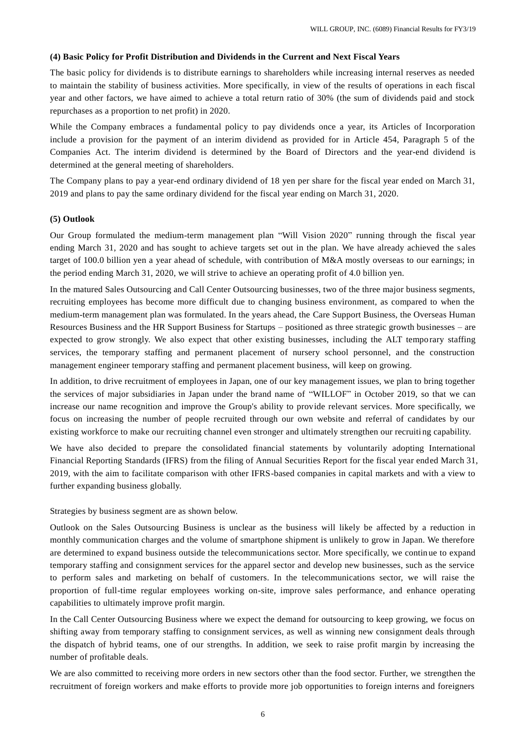## **(4) Basic Policy for Profit Distribution and Dividends in the Current and Next Fiscal Years**

The basic policy for dividends is to distribute earnings to shareholders while increasing internal reserves as needed to maintain the stability of business activities. More specifically, in view of the results of operations in each fiscal year and other factors, we have aimed to achieve a total return ratio of 30% (the sum of dividends paid and stock repurchases as a proportion to net profit) in 2020.

While the Company embraces a fundamental policy to pay dividends once a year, its Articles of Incorporation include a provision for the payment of an interim dividend as provided for in Article 454, Paragraph 5 of the Companies Act. The interim dividend is determined by the Board of Directors and the year-end dividend is determined at the general meeting of shareholders.

The Company plans to pay a year-end ordinary dividend of 18 yen per share for the fiscal year ended on March 31, 2019 and plans to pay the same ordinary dividend for the fiscal year ending on March 31, 2020.

## **(5) Outlook**

Our Group formulated the medium-term management plan "Will Vision 2020" running through the fiscal year ending March 31, 2020 and has sought to achieve targets set out in the plan. We have already achieved the sales target of 100.0 billion yen a year ahead of schedule, with contribution of M&A mostly overseas to our earnings; in the period ending March 31, 2020, we will strive to achieve an operating profit of 4.0 billion yen.

In the matured Sales Outsourcing and Call Center Outsourcing businesses, two of the three major business segments, recruiting employees has become more difficult due to changing business environment, as compared to when the medium-term management plan was formulated. In the years ahead, the Care Support Business, the Overseas Human Resources Business and the HR Support Business for Startups – positioned as three strategic growth businesses – are expected to grow strongly. We also expect that other existing businesses, including the ALT temporary staffing services, the temporary staffing and permanent placement of nursery school personnel, and the construction management engineer temporary staffing and permanent placement business, will keep on growing.

In addition, to drive recruitment of employees in Japan, one of our key management issues, we plan to bring together the services of major subsidiaries in Japan under the brand name of "WILLOF" in October 2019, so that we can increase our name recognition and improve the Group's ability to provide relevant services. More specifically, we focus on increasing the number of people recruited through our own website and referral of candidates by our existing workforce to make our recruiting channel even stronger and ultimately strengthen our recruiti ng capability.

We have also decided to prepare the consolidated financial statements by voluntarily adopting International Financial Reporting Standards (IFRS) from the filing of Annual Securities Report for the fiscal year ended March 31, 2019, with the aim to facilitate comparison with other IFRS-based companies in capital markets and with a view to further expanding business globally.

Strategies by business segment are as shown below.

Outlook on the Sales Outsourcing Business is unclear as the business will likely be affected by a reduction in monthly communication charges and the volume of smartphone shipment is unlikely to grow in Japan. We therefore are determined to expand business outside the telecommunications sector. More specifically, we continue to expand temporary staffing and consignment services for the apparel sector and develop new businesses, such as the service to perform sales and marketing on behalf of customers. In the telecommunications sector, we will raise the proportion of full-time regular employees working on-site, improve sales performance, and enhance operating capabilities to ultimately improve profit margin.

In the Call Center Outsourcing Business where we expect the demand for outsourcing to keep growing, we focus on shifting away from temporary staffing to consignment services, as well as winning new consignment deals through the dispatch of hybrid teams, one of our strengths. In addition, we seek to raise profit margin by increasing the number of profitable deals.

We are also committed to receiving more orders in new sectors other than the food sector. Further, we strengthen the recruitment of foreign workers and make efforts to provide more job opportunities to foreign interns and foreigners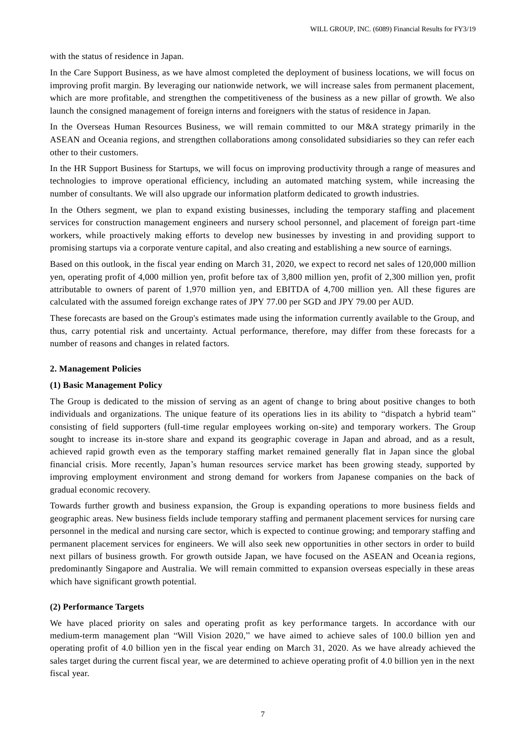with the status of residence in Japan.

In the Care Support Business, as we have almost completed the deployment of business locations, we will focus on improving profit margin. By leveraging our nationwide network, we will increase sales from permanent placement, which are more profitable, and strengthen the competitiveness of the business as a new pillar of growth. We also launch the consigned management of foreign interns and foreigners with the status of residence in Japan.

In the Overseas Human Resources Business, we will remain committed to our M&A strategy primarily in the ASEAN and Oceania regions, and strengthen collaborations among consolidated subsidiaries so they can refer each other to their customers.

In the HR Support Business for Startups, we will focus on improving productivity through a range of measures and technologies to improve operational efficiency, including an automated matching system, while increasing the number of consultants. We will also upgrade our information platform dedicated to growth industries.

In the Others segment, we plan to expand existing businesses, including the temporary staffing and placement services for construction management engineers and nursery school personnel, and placement of foreign part-time workers, while proactively making efforts to develop new businesses by investing in and providing support to promising startups via a corporate venture capital, and also creating and establishing a new source of earnings.

Based on this outlook, in the fiscal year ending on March 31, 2020, we expect to record net sales of 120,000 million yen, operating profit of 4,000 million yen, profit before tax of 3,800 million yen, profit of 2,300 million yen, profit attributable to owners of parent of 1,970 million yen, and EBITDA of 4,700 million yen. All these figures are calculated with the assumed foreign exchange rates of JPY 77.00 per SGD and JPY 79.00 per AUD.

These forecasts are based on the Group's estimates made using the information currently available to the Group, and thus, carry potential risk and uncertainty. Actual performance, therefore, may differ from these forecasts for a number of reasons and changes in related factors.

## **2. Management Policies**

## **(1) Basic Management Policy**

The Group is dedicated to the mission of serving as an agent of change to bring about positive changes to both individuals and organizations. The unique feature of its operations lies in its ability to "dispatch a hybrid team" consisting of field supporters (full-time regular employees working on-site) and temporary workers. The Group sought to increase its in-store share and expand its geographic coverage in Japan and abroad, and as a result, achieved rapid growth even as the temporary staffing market remained generally flat in Japan since the global financial crisis. More recently, Japan's human resources service market has been growing steady, supported by improving employment environment and strong demand for workers from Japanese companies on the back of gradual economic recovery.

Towards further growth and business expansion, the Group is expanding operations to more business fields and geographic areas. New business fields include temporary staffing and permanent placement services for nursing care personnel in the medical and nursing care sector, which is expected to continue growing; and temporary staffing and permanent placement services for engineers. We will also seek new opportunities in other sectors in order to build next pillars of business growth. For growth outside Japan, we have focused on the ASEAN and Oceania regions, predominantly Singapore and Australia. We will remain committed to expansion overseas especially in these areas which have significant growth potential.

## **(2) Performance Targets**

We have placed priority on sales and operating profit as key performance targets. In accordance with our medium-term management plan "Will Vision 2020," we have aimed to achieve sales of 100.0 billion yen and operating profit of 4.0 billion yen in the fiscal year ending on March 31, 2020. As we have already achieved the sales target during the current fiscal year, we are determined to achieve operating profit of 4.0 billion yen in the next fiscal year.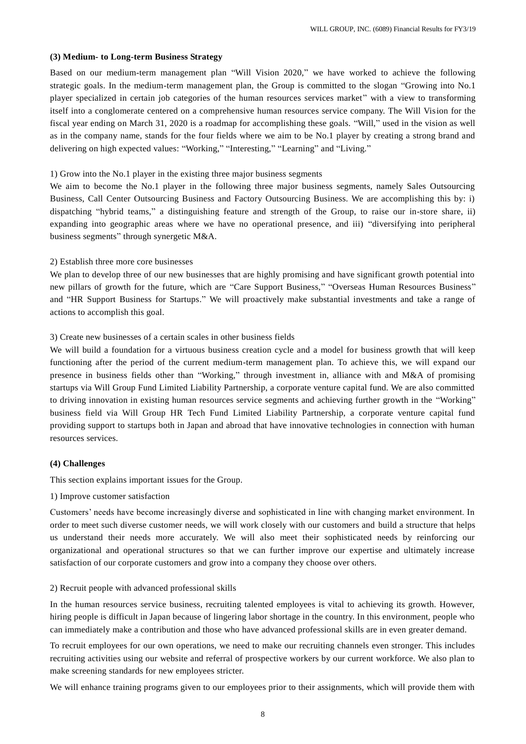#### **(3) Medium- to Long-term Business Strategy**

Based on our medium-term management plan "Will Vision 2020," we have worked to achieve the following strategic goals. In the medium-term management plan, the Group is committed to the slogan "Growing into No.1 player specialized in certain job categories of the human resources services market" with a view to transforming itself into a conglomerate centered on a comprehensive human resources service company. The Will Vision for the fiscal year ending on March 31, 2020 is a roadmap for accomplishing these goals. "Will," used in the vision as well as in the company name, stands for the four fields where we aim to be No.1 player by creating a strong brand and delivering on high expected values: "Working," "Interesting," "Learning" and "Living."

## 1) Grow into the No.1 player in the existing three major business segments

We aim to become the No.1 player in the following three major business segments, namely Sales Outsourcing Business, Call Center Outsourcing Business and Factory Outsourcing Business. We are accomplishing this by: i) dispatching "hybrid teams," a distinguishing feature and strength of the Group, to raise our in-store share, ii) expanding into geographic areas where we have no operational presence, and iii) "diversifying into peripheral business segments" through synergetic M&A.

#### 2) Establish three more core businesses

We plan to develop three of our new businesses that are highly promising and have significant growth potential into new pillars of growth for the future, which are "Care Support Business," "Overseas Human Resources Business" and "HR Support Business for Startups." We will proactively make substantial investments and take a range of actions to accomplish this goal.

## 3) Create new businesses of a certain scales in other business fields

We will build a foundation for a virtuous business creation cycle and a model for business growth that will keep functioning after the period of the current medium-term management plan. To achieve this, we will expand our presence in business fields other than "Working," through investment in, alliance with and M&A of promising startups via Will Group Fund Limited Liability Partnership, a corporate venture capital fund. We are also committed to driving innovation in existing human resources service segments and achieving further growth in the "Working" business field via Will Group HR Tech Fund Limited Liability Partnership, a corporate venture capital fund providing support to startups both in Japan and abroad that have innovative technologies in connection with human resources services.

#### **(4) Challenges**

This section explains important issues for the Group.

1) Improve customer satisfaction

Customers' needs have become increasingly diverse and sophisticated in line with changing market environment. In order to meet such diverse customer needs, we will work closely with our customers and build a structure that helps us understand their needs more accurately. We will also meet their sophisticated needs by reinforcing our organizational and operational structures so that we can further improve our expertise and ultimately increase satisfaction of our corporate customers and grow into a company they choose over others.

# 2) Recruit people with advanced professional skills

In the human resources service business, recruiting talented employees is vital to achieving its growth. However, hiring people is difficult in Japan because of lingering labor shortage in the country. In this environment, people who can immediately make a contribution and those who have advanced professional skills are in even greater demand.

To recruit employees for our own operations, we need to make our recruiting channels even stronger. This includes recruiting activities using our website and referral of prospective workers by our current workforce. We also plan to make screening standards for new employees stricter.

We will enhance training programs given to our employees prior to their assignments, which will provide them with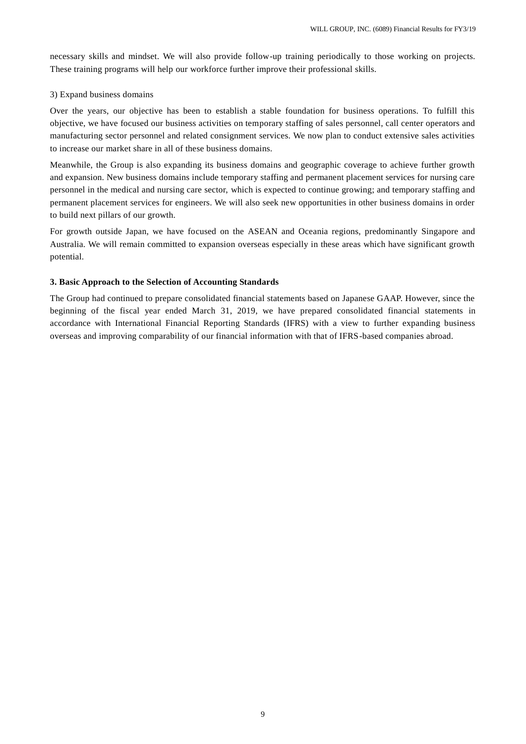necessary skills and mindset. We will also provide follow-up training periodically to those working on projects. These training programs will help our workforce further improve their professional skills.

### 3) Expand business domains

Over the years, our objective has been to establish a stable foundation for business operations. To fulfill this objective, we have focused our business activities on temporary staffing of sales personnel, call center operators and manufacturing sector personnel and related consignment services. We now plan to conduct extensive sales activities to increase our market share in all of these business domains.

Meanwhile, the Group is also expanding its business domains and geographic coverage to achieve further growth and expansion. New business domains include temporary staffing and permanent placement services for nursing care personnel in the medical and nursing care sector, which is expected to continue growing; and temporary staffing and permanent placement services for engineers. We will also seek new opportunities in other business domains in order to build next pillars of our growth.

For growth outside Japan, we have focused on the ASEAN and Oceania regions, predominantly Singapore and Australia. We will remain committed to expansion overseas especially in these areas which have significant growth potential.

#### **3. Basic Approach to the Selection of Accounting Standards**

The Group had continued to prepare consolidated financial statements based on Japanese GAAP. However, since the beginning of the fiscal year ended March 31, 2019, we have prepared consolidated financial statements in accordance with International Financial Reporting Standards (IFRS) with a view to further expanding business overseas and improving comparability of our financial information with that of IFRS-based companies abroad.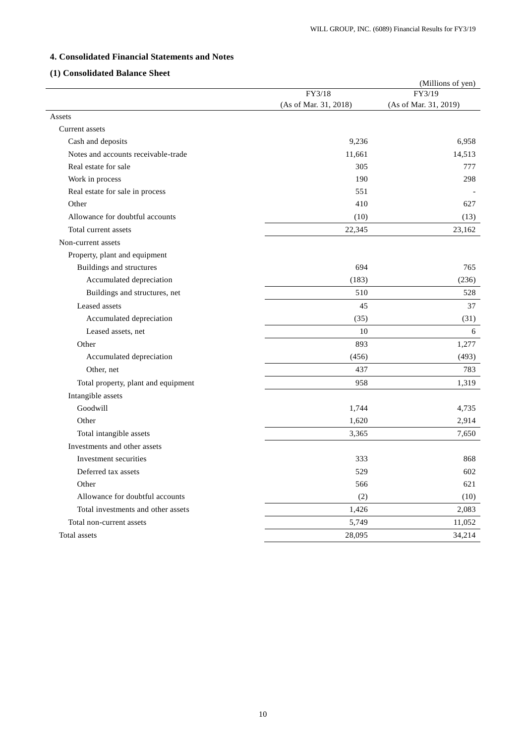# **4. Consolidated Financial Statements and Notes**

# **(1) Consolidated Balance Sheet**

|                                     |                       | (Millions of yen)     |
|-------------------------------------|-----------------------|-----------------------|
|                                     | FY3/18                | FY3/19                |
|                                     | (As of Mar. 31, 2018) | (As of Mar. 31, 2019) |
| Assets                              |                       |                       |
| Current assets                      |                       |                       |
| Cash and deposits                   | 9,236                 | 6,958                 |
| Notes and accounts receivable-trade | 11,661                | 14,513                |
| Real estate for sale                | 305                   | 777                   |
| Work in process                     | 190                   | 298                   |
| Real estate for sale in process     | 551                   |                       |
| Other                               | 410                   | 627                   |
| Allowance for doubtful accounts     | (10)                  | (13)                  |
| Total current assets                | 22,345                | 23,162                |
| Non-current assets                  |                       |                       |
| Property, plant and equipment       |                       |                       |
| Buildings and structures            | 694                   | 765                   |
| Accumulated depreciation            | (183)                 | (236)                 |
| Buildings and structures, net       | 510                   | 528                   |
| Leased assets                       | 45                    | 37                    |
| Accumulated depreciation            | (35)                  | (31)                  |
| Leased assets, net                  | 10                    | 6                     |
| Other                               | 893                   | 1,277                 |
| Accumulated depreciation            | (456)                 | (493)                 |
| Other, net                          | 437                   | 783                   |
| Total property, plant and equipment | 958                   | 1,319                 |
| Intangible assets                   |                       |                       |
| Goodwill                            | 1,744                 | 4,735                 |
| Other                               | 1,620                 | 2,914                 |
| Total intangible assets             | 3,365                 | 7,650                 |
| Investments and other assets        |                       |                       |
| Investment securities               | 333                   | 868                   |
| Deferred tax assets                 | 529                   | 602                   |
| Other                               | 566                   | 621                   |
| Allowance for doubtful accounts     | (2)                   | (10)                  |
| Total investments and other assets  | 1,426                 | 2,083                 |
| Total non-current assets            | 5,749                 | 11,052                |
| Total assets                        | 28,095                | 34,214                |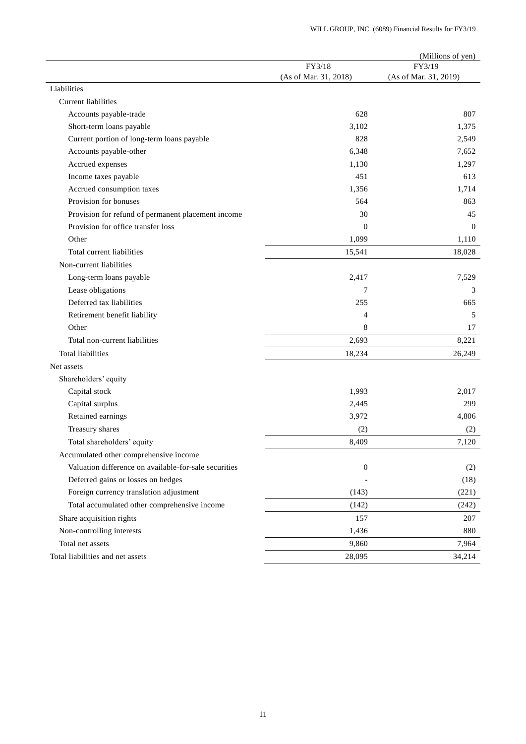|                                                       |                       | (Millions of yen)     |
|-------------------------------------------------------|-----------------------|-----------------------|
|                                                       | FY3/18                | FY3/19                |
|                                                       | (As of Mar. 31, 2018) | (As of Mar. 31, 2019) |
| Liabilities                                           |                       |                       |
| Current liabilities                                   |                       |                       |
| Accounts payable-trade                                | 628                   | 807                   |
| Short-term loans payable                              | 3,102                 | 1,375                 |
| Current portion of long-term loans payable            | 828                   | 2,549                 |
| Accounts payable-other                                | 6,348                 | 7,652                 |
| Accrued expenses                                      | 1,130                 | 1,297                 |
| Income taxes payable                                  | 451                   | 613                   |
| Accrued consumption taxes                             | 1,356                 | 1,714                 |
| Provision for bonuses                                 | 564                   | 863                   |
| Provision for refund of permanent placement income    | 30                    | 45                    |
| Provision for office transfer loss                    | $\mathbf{0}$          | $\Omega$              |
| Other                                                 | 1,099                 | 1,110                 |
| Total current liabilities                             | 15,541                | 18,028                |
| Non-current liabilities                               |                       |                       |
| Long-term loans payable                               | 2,417                 | 7,529                 |
| Lease obligations                                     | 7                     | 3                     |
| Deferred tax liabilities                              | 255                   | 665                   |
| Retirement benefit liability                          | 4                     | 5                     |
| Other                                                 | 8                     | 17                    |
| Total non-current liabilities                         | 2,693                 | 8,221                 |
| Total liabilities                                     | 18,234                | 26,249                |
| Net assets                                            |                       |                       |
| Shareholders' equity                                  |                       |                       |
| Capital stock                                         | 1,993                 | 2,017                 |
| Capital surplus                                       | 2,445                 | 299                   |
| Retained earnings                                     | 3,972                 | 4,806                 |
| Treasury shares                                       | (2)                   | (2)                   |
| Total shareholders' equity                            | 8,409                 | 7,120                 |
| Accumulated other comprehensive income                |                       |                       |
| Valuation difference on available-for-sale securities | $\boldsymbol{0}$      | (2)                   |
| Deferred gains or losses on hedges                    |                       | (18)                  |
| Foreign currency translation adjustment               | (143)                 | (221)                 |
| Total accumulated other comprehensive income          | (142)                 | (242)                 |
| Share acquisition rights                              | 157                   | 207                   |
| Non-controlling interests                             | 1,436                 | 880                   |
| Total net assets                                      | 9,860                 | 7,964                 |
| Total liabilities and net assets                      | 28,095                | 34,214                |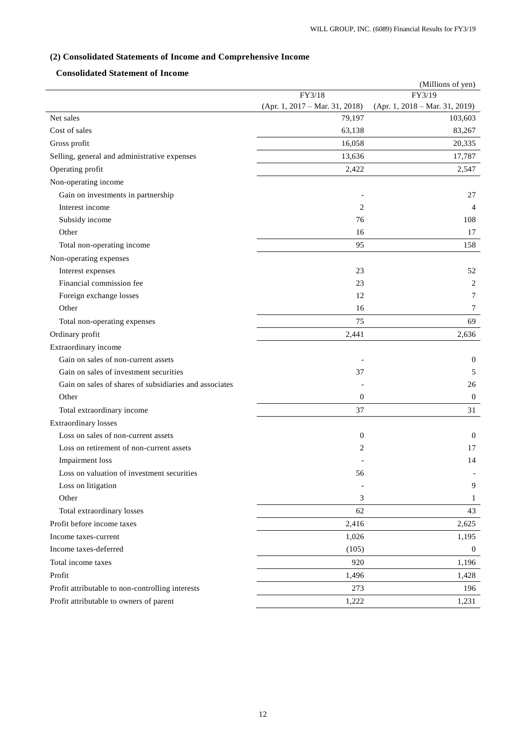# **(2) Consolidated Statements of Income and Comprehensive Income**

# **Consolidated Statement of Income**

|                                                        |                                | (Millions of yen)                |
|--------------------------------------------------------|--------------------------------|----------------------------------|
|                                                        | FY3/18                         | FY3/19                           |
|                                                        | (Apr. 1, 2017 – Mar. 31, 2018) | $(Apr. 1, 2018 - Mar. 31, 2019)$ |
| Net sales                                              | 79,197                         | 103,603                          |
| Cost of sales                                          | 63,138                         | 83,267                           |
| Gross profit                                           | 16,058                         | 20,335                           |
| Selling, general and administrative expenses           | 13,636                         | 17,787                           |
| Operating profit                                       | 2,422                          | 2,547                            |
| Non-operating income                                   |                                |                                  |
| Gain on investments in partnership                     |                                | 27                               |
| Interest income                                        | 2                              | $\overline{4}$                   |
| Subsidy income                                         | 76                             | 108                              |
| Other                                                  | 16                             | 17                               |
| Total non-operating income                             | 95                             | 158                              |
| Non-operating expenses                                 |                                |                                  |
| Interest expenses                                      | 23                             | 52                               |
| Financial commission fee                               | 23                             | 2                                |
| Foreign exchange losses                                | 12                             | 7                                |
| Other                                                  | 16                             | 7                                |
| Total non-operating expenses                           | 75                             | 69                               |
| Ordinary profit                                        | 2,441                          | 2,636                            |
| Extraordinary income                                   |                                |                                  |
| Gain on sales of non-current assets                    |                                | $\mathbf{0}$                     |
| Gain on sales of investment securities                 | 37                             | 5                                |
| Gain on sales of shares of subsidiaries and associates |                                | 26                               |
| Other                                                  | $\mathbf{0}$                   | $\mathbf{0}$                     |
| Total extraordinary income                             | 37                             | 31                               |
| <b>Extraordinary losses</b>                            |                                |                                  |
| Loss on sales of non-current assets                    | $\boldsymbol{0}$               | $\mathbf{0}$                     |
| Loss on retirement of non-current assets               | $\overline{2}$                 | 17                               |
| Impairment loss                                        |                                | 14                               |
| Loss on valuation of investment securities             | 56                             |                                  |
| Loss on litigation                                     |                                | 9                                |
| Other                                                  | 3                              | 1                                |
| Total extraordinary losses                             | 62                             | 43                               |
| Profit before income taxes                             | 2,416                          | 2,625                            |
| Income taxes-current                                   | 1,026                          | 1,195                            |
| Income taxes-deferred                                  | (105)                          | $\boldsymbol{0}$                 |
| Total income taxes                                     | 920                            | 1,196                            |
| Profit                                                 | 1,496                          | 1,428                            |
| Profit attributable to non-controlling interests       | 273                            | 196                              |
| Profit attributable to owners of parent                | 1,222                          | 1,231                            |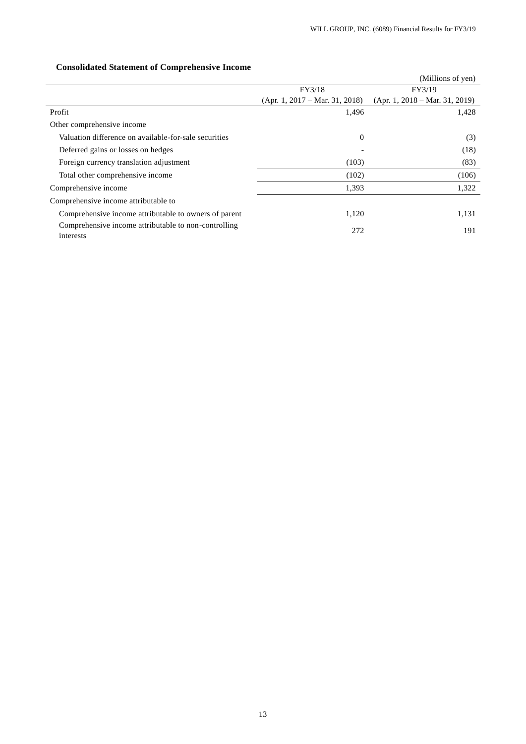# (Millions of yen) FY3/18 (Apr. 1, 2017 – Mar. 31, 2018) FY3/19 (Apr. 1, 2018 – Mar. 31, 2019) Profit  $1,428$   $1,428$ Other comprehensive income Valuation difference on available-for-sale securities 0 (3) Deferred gains or losses on hedges (18) Foreign currency translation adjustment (103) (83) Total other comprehensive income (106) (106) Comprehensive income 1,322 1,322 Comprehensive income attributable to Comprehensive income attributable to owners of parent 1,120 1,131 Comprehensive income attributable to non-controlling 272 2008 2012

# **Consolidated Statement of Comprehensive Income**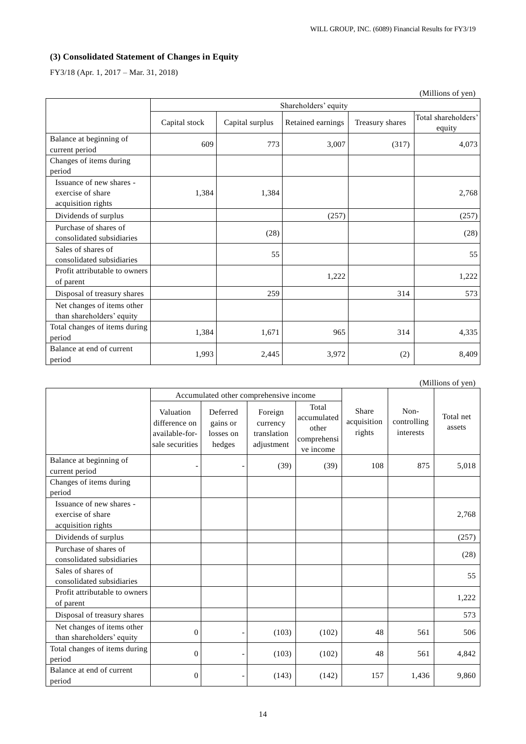# **(3) Consolidated Statement of Changes in Equity**

FY3/18 (Apr. 1, 2017 – Mar. 31, 2018)

|                                                                     |                      |                 |                   |                 | (Millions of yen)             |
|---------------------------------------------------------------------|----------------------|-----------------|-------------------|-----------------|-------------------------------|
|                                                                     | Shareholders' equity |                 |                   |                 |                               |
|                                                                     | Capital stock        | Capital surplus | Retained earnings | Treasury shares | Total shareholders'<br>equity |
| Balance at beginning of<br>current period                           | 609                  | 773             | 3,007             | (317)           | 4,073                         |
| Changes of items during<br>period                                   |                      |                 |                   |                 |                               |
| Issuance of new shares -<br>exercise of share<br>acquisition rights | 1,384                | 1,384           |                   |                 | 2,768                         |
| Dividends of surplus                                                |                      |                 | (257)             |                 | (257)                         |
| Purchase of shares of<br>consolidated subsidiaries                  |                      | (28)            |                   |                 | (28)                          |
| Sales of shares of<br>consolidated subsidiaries                     |                      | 55              |                   |                 | 55                            |
| Profit attributable to owners<br>of parent                          |                      |                 | 1,222             |                 | 1,222                         |
| Disposal of treasury shares                                         |                      | 259             |                   | 314             | 573                           |
| Net changes of items other<br>than shareholders' equity             |                      |                 |                   |                 |                               |
| Total changes of items during<br>period                             | 1,384                | 1,671           | 965               | 314             | 4,335                         |
| Balance at end of current<br>period                                 | 1,993                | 2,445           | 3,972             | (2)             | 8,409                         |

|                                                                     |                                                                 |                                             |                                                  |                                                           |                                | (Millions of yen)                |                     |
|---------------------------------------------------------------------|-----------------------------------------------------------------|---------------------------------------------|--------------------------------------------------|-----------------------------------------------------------|--------------------------------|----------------------------------|---------------------|
|                                                                     |                                                                 | Accumulated other comprehensive income      |                                                  |                                                           |                                |                                  |                     |
|                                                                     | Valuation<br>difference on<br>available-for-<br>sale securities | Deferred<br>gains or<br>losses on<br>hedges | Foreign<br>currency<br>translation<br>adjustment | Total<br>accumulated<br>other<br>comprehensi<br>ve income | Share<br>acquisition<br>rights | Non-<br>controlling<br>interests | Total net<br>assets |
| Balance at beginning of<br>current period                           |                                                                 |                                             | (39)                                             | (39)                                                      | 108                            | 875                              | 5,018               |
| Changes of items during<br>period                                   |                                                                 |                                             |                                                  |                                                           |                                |                                  |                     |
| Issuance of new shares -<br>exercise of share<br>acquisition rights |                                                                 |                                             |                                                  |                                                           |                                |                                  | 2,768               |
| Dividends of surplus                                                |                                                                 |                                             |                                                  |                                                           |                                |                                  | (257)               |
| Purchase of shares of<br>consolidated subsidiaries                  |                                                                 |                                             |                                                  |                                                           |                                |                                  | (28)                |
| Sales of shares of<br>consolidated subsidiaries                     |                                                                 |                                             |                                                  |                                                           |                                |                                  | 55                  |
| Profit attributable to owners<br>of parent                          |                                                                 |                                             |                                                  |                                                           |                                |                                  | 1,222               |
| Disposal of treasury shares                                         |                                                                 |                                             |                                                  |                                                           |                                |                                  | 573                 |
| Net changes of items other<br>than shareholders' equity             | $\overline{0}$                                                  |                                             | (103)                                            | (102)                                                     | 48                             | 561                              | 506                 |
| Total changes of items during<br>period                             | $\overline{0}$                                                  |                                             | (103)                                            | (102)                                                     | 48                             | 561                              | 4,842               |
| Balance at end of current<br>period                                 | 0                                                               |                                             | (143)                                            | (142)                                                     | 157                            | 1,436                            | 9,860               |

14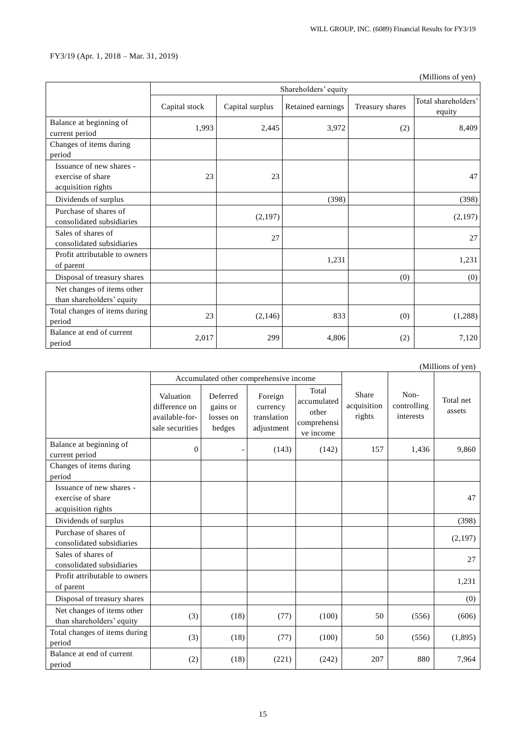|                                                                     |                      |                 |                   |                 | (Millions of yen)             |
|---------------------------------------------------------------------|----------------------|-----------------|-------------------|-----------------|-------------------------------|
|                                                                     | Shareholders' equity |                 |                   |                 |                               |
|                                                                     | Capital stock        | Capital surplus | Retained earnings | Treasury shares | Total shareholders'<br>equity |
| Balance at beginning of<br>current period                           | 1,993                | 2,445           | 3,972             | (2)             | 8.409                         |
| Changes of items during<br>period                                   |                      |                 |                   |                 |                               |
| Issuance of new shares -<br>exercise of share<br>acquisition rights | 23                   | 23              |                   |                 | 47                            |
| Dividends of surplus                                                |                      |                 | (398)             |                 | (398)                         |
| Purchase of shares of<br>consolidated subsidiaries                  |                      | (2,197)         |                   |                 | (2,197)                       |
| Sales of shares of<br>consolidated subsidiaries                     |                      | 27              |                   |                 | 27                            |
| Profit attributable to owners<br>of parent                          |                      |                 | 1,231             |                 | 1,231                         |
| Disposal of treasury shares                                         |                      |                 |                   | (0)             | (0)                           |
| Net changes of items other<br>than shareholders' equity             |                      |                 |                   |                 |                               |
| Total changes of items during<br>period                             | 23                   | (2,146)         | 833               | (0)             | (1,288)                       |
| Balance at end of current<br>period                                 | 2,017                | 299             | 4,806             | (2)             | 7,120                         |

(Millions of yen)

|                                                                     |                                                                 | Accumulated other comprehensive income      |                                                  |                                                           |                                |                                  |                     |
|---------------------------------------------------------------------|-----------------------------------------------------------------|---------------------------------------------|--------------------------------------------------|-----------------------------------------------------------|--------------------------------|----------------------------------|---------------------|
|                                                                     | Valuation<br>difference on<br>available-for-<br>sale securities | Deferred<br>gains or<br>losses on<br>hedges | Foreign<br>currency<br>translation<br>adjustment | Total<br>accumulated<br>other<br>comprehensi<br>ve income | Share<br>acquisition<br>rights | Non-<br>controlling<br>interests | Total net<br>assets |
| Balance at beginning of<br>current period                           | $\mathbf{0}$                                                    |                                             | (143)                                            | (142)                                                     | 157                            | 1,436                            | 9.860               |
| Changes of items during<br>period                                   |                                                                 |                                             |                                                  |                                                           |                                |                                  |                     |
| Issuance of new shares -<br>exercise of share<br>acquisition rights |                                                                 |                                             |                                                  |                                                           |                                |                                  | 47                  |
| Dividends of surplus                                                |                                                                 |                                             |                                                  |                                                           |                                |                                  | (398)               |
| Purchase of shares of<br>consolidated subsidiaries                  |                                                                 |                                             |                                                  |                                                           |                                |                                  | (2,197)             |
| Sales of shares of<br>consolidated subsidiaries                     |                                                                 |                                             |                                                  |                                                           |                                |                                  | 27                  |
| Profit attributable to owners<br>of parent                          |                                                                 |                                             |                                                  |                                                           |                                |                                  | 1,231               |
| Disposal of treasury shares                                         |                                                                 |                                             |                                                  |                                                           |                                |                                  | (0)                 |
| Net changes of items other<br>than shareholders' equity             | (3)                                                             | (18)                                        | (77)                                             | (100)                                                     | 50                             | (556)                            | (606)               |
| Total changes of items during<br>period                             | (3)                                                             | (18)                                        | (77)                                             | (100)                                                     | 50                             | (556)                            | (1,895)             |
| Balance at end of current<br>period                                 | (2)                                                             | (18)                                        | (221)                                            | (242)                                                     | 207                            | 880                              | 7,964               |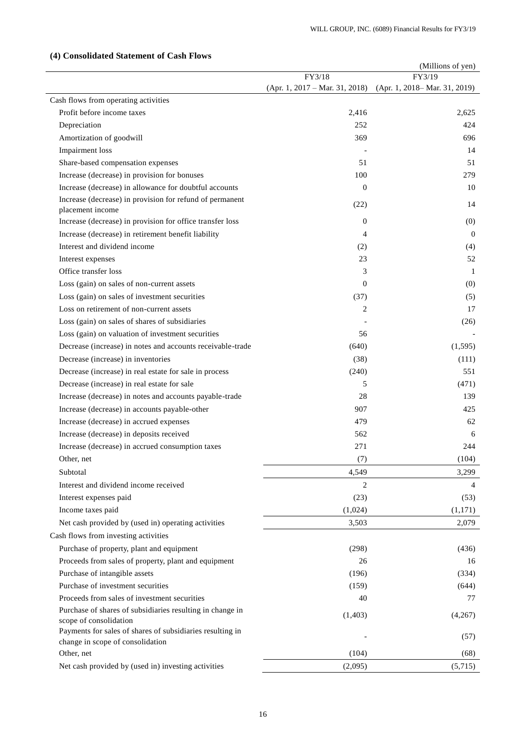|                                                                              |                                  | (Millions of yen)             |
|------------------------------------------------------------------------------|----------------------------------|-------------------------------|
|                                                                              | FY3/18                           | FY3/19                        |
|                                                                              | $(Apr. 1, 2017 - Mar. 31, 2018)$ | (Apr. 1, 2018– Mar. 31, 2019) |
| Cash flows from operating activities                                         |                                  |                               |
| Profit before income taxes                                                   | 2,416                            | 2,625                         |
| Depreciation                                                                 | 252                              | 424                           |
| Amortization of goodwill                                                     | 369                              | 696                           |
| Impairment loss                                                              |                                  | 14                            |
| Share-based compensation expenses                                            | 51                               | 51                            |
| Increase (decrease) in provision for bonuses                                 | 100                              | 279                           |
| Increase (decrease) in allowance for doubtful accounts                       | $\theta$                         | 10                            |
| Increase (decrease) in provision for refund of permanent<br>placement income | (22)                             | 14                            |
| Increase (decrease) in provision for office transfer loss                    | $\mathbf{0}$                     | (0)                           |
| Increase (decrease) in retirement benefit liability                          | 4                                | $\overline{0}$                |
| Interest and dividend income                                                 | (2)                              | (4)                           |
| Interest expenses                                                            | 23                               | 52                            |
| Office transfer loss                                                         | 3                                | 1                             |
| Loss (gain) on sales of non-current assets                                   | $\Omega$                         | (0)                           |
| Loss (gain) on sales of investment securities                                | (37)                             | (5)                           |
| Loss on retirement of non-current assets                                     | 2                                | 17                            |
| Loss (gain) on sales of shares of subsidiaries                               |                                  | (26)                          |
| Loss (gain) on valuation of investment securities                            | 56                               |                               |
| Decrease (increase) in notes and accounts receivable-trade                   | (640)                            | (1,595)                       |
| Decrease (increase) in inventories                                           | (38)                             | (111)                         |
| Decrease (increase) in real estate for sale in process                       | (240)                            | 551                           |
| Decrease (increase) in real estate for sale                                  | 5                                | (471)                         |
| Increase (decrease) in notes and accounts payable-trade                      | 28                               | 139                           |
| Increase (decrease) in accounts payable-other                                | 907                              | 425                           |
| Increase (decrease) in accrued expenses                                      | 479                              | 62                            |
| Increase (decrease) in deposits received                                     | 562                              | 6                             |
| Increase (decrease) in accrued consumption taxes                             | 271                              | 244                           |
| Other, net                                                                   | (7)                              | (104)                         |
| Subtotal                                                                     | 4,549                            | 3,299                         |
| Interest and dividend income received                                        | 2                                | 4                             |
| Interest expenses paid                                                       | (23)                             | (53)                          |
| Income taxes paid                                                            | (1,024)                          | (1,171)                       |
| Net cash provided by (used in) operating activities                          | 3,503                            | 2,079                         |
| Cash flows from investing activities                                         |                                  |                               |
| Purchase of property, plant and equipment                                    | (298)                            | (436)                         |
| Proceeds from sales of property, plant and equipment                         | 26                               | 16                            |
| Purchase of intangible assets                                                | (196)                            | (334)                         |
| Purchase of investment securities                                            | (159)                            | (644)                         |
| Proceeds from sales of investment securities                                 | 40                               | 77                            |
| Purchase of shares of subsidiaries resulting in change in                    |                                  |                               |
| scope of consolidation                                                       | (1, 403)                         | (4,267)                       |
| Payments for sales of shares of subsidiaries resulting in                    |                                  | (57)                          |
| change in scope of consolidation                                             |                                  |                               |
| Other, net                                                                   | (104)                            | (68)                          |
| Net cash provided by (used in) investing activities                          | (2,095)                          | (5,715)                       |

# **(4) Consolidated Statement of Cash Flows**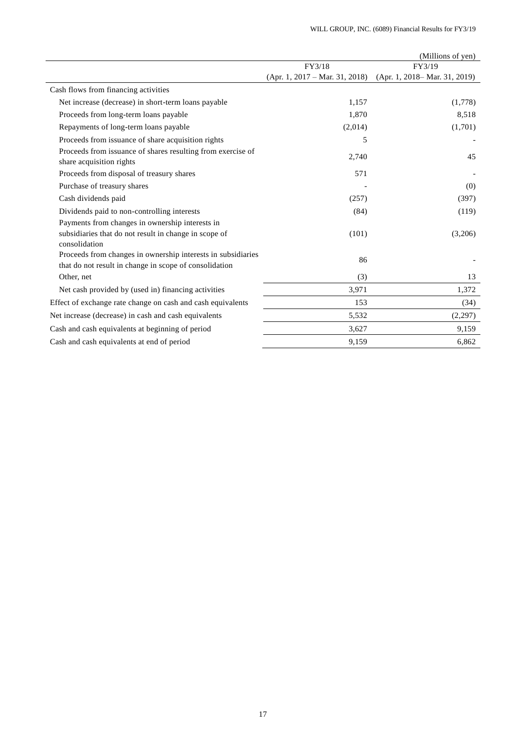|                                                                                                                        |                                  | (Millions of yen)             |
|------------------------------------------------------------------------------------------------------------------------|----------------------------------|-------------------------------|
|                                                                                                                        | FY3/18                           | FY3/19                        |
|                                                                                                                        | $(Apr. 1, 2017 - Mar. 31, 2018)$ | (Apr. 1, 2018– Mar. 31, 2019) |
| Cash flows from financing activities                                                                                   |                                  |                               |
| Net increase (decrease) in short-term loans payable                                                                    | 1,157                            | (1,778)                       |
| Proceeds from long-term loans payable                                                                                  | 1,870                            | 8,518                         |
| Repayments of long-term loans payable                                                                                  | (2,014)                          | (1,701)                       |
| Proceeds from issuance of share acquisition rights                                                                     | 5                                |                               |
| Proceeds from issuance of shares resulting from exercise of<br>share acquisition rights                                | 2,740                            | 45                            |
| Proceeds from disposal of treasury shares                                                                              | 571                              |                               |
| Purchase of treasury shares                                                                                            |                                  | (0)                           |
| Cash dividends paid                                                                                                    | (257)                            | (397)                         |
| Dividends paid to non-controlling interests                                                                            | (84)                             | (119)                         |
| Payments from changes in ownership interests in                                                                        |                                  |                               |
| subsidiaries that do not result in change in scope of                                                                  | (101)                            | (3,206)                       |
| consolidation                                                                                                          |                                  |                               |
| Proceeds from changes in ownership interests in subsidiaries<br>that do not result in change in scope of consolidation | 86                               |                               |
| Other, net                                                                                                             | (3)                              | 13                            |
| Net cash provided by (used in) financing activities                                                                    | 3,971                            | 1,372                         |
| Effect of exchange rate change on cash and cash equivalents                                                            | 153                              | (34)                          |
| Net increase (decrease) in cash and cash equivalents                                                                   | 5,532                            | (2,297)                       |
| Cash and cash equivalents at beginning of period                                                                       | 3,627                            | 9,159                         |
| Cash and cash equivalents at end of period                                                                             | 9,159                            | 6,862                         |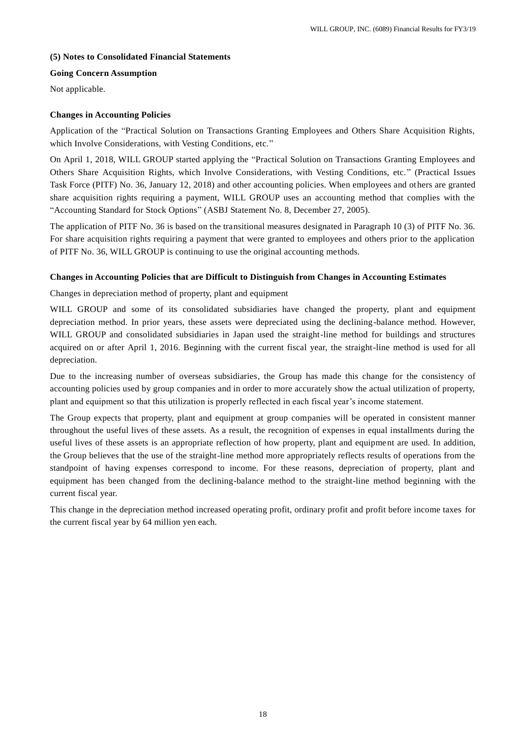# **(5) Notes to Consolidated Financial Statements**

# **Going Concern Assumption**

Not applicable.

# **Changes in Accounting Policies**

Application of the "Practical Solution on Transactions Granting Employees and Others Share Acquisition Rights, which Involve Considerations, with Vesting Conditions, etc."

On April 1, 2018, WILL GROUP started applying the "Practical Solution on Transactions Granting Employees and Others Share Acquisition Rights, which Involve Considerations, with Vesting Conditions, etc." (Practical Issues Task Force (PITF) No. 36, January 12, 2018) and other accounting policies. When employees and others are granted share acquisition rights requiring a payment, WILL GROUP uses an accounting method that complies with the "Accounting Standard for Stock Options" (ASBJ Statement No. 8, December 27, 2005).

The application of PITF No. 36 is based on the transitional measures designated in Paragraph 10 (3) of PITF No. 36. For share acquisition rights requiring a payment that were granted to employees and others prior to the application of PITF No. 36, WILL GROUP is continuing to use the original accounting methods.

# **Changes in Accounting Policies that are Difficult to Distinguish from Changes in Accounting Estimates**

Changes in depreciation method of property, plant and equipment

WILL GROUP and some of its consolidated subsidiaries have changed the property, plant and equipment depreciation method. In prior years, these assets were depreciated using the declining-balance method. However, WILL GROUP and consolidated subsidiaries in Japan used the straight-line method for buildings and structures acquired on or after April 1, 2016. Beginning with the current fiscal year, the straight-line method is used for all depreciation.

Due to the increasing number of overseas subsidiaries, the Group has made this change for the consistency of accounting policies used by group companies and in order to more accurately show the actual utilization of property, plant and equipment so that this utilization is properly reflected in each fiscal year's income statement.

The Group expects that property, plant and equipment at group companies will be operated in consistent manner throughout the useful lives of these assets. As a result, the recognition of expenses in equal installments during the useful lives of these assets is an appropriate reflection of how property, plant and equipment are used. In addition, the Group believes that the use of the straight-line method more appropriately reflects results of operations from the standpoint of having expenses correspond to income. For these reasons, depreciation of property, plant and equipment has been changed from the declining-balance method to the straight-line method beginning with the current fiscal year.

This change in the depreciation method increased operating profit, ordinary profit and profit before income taxes for the current fiscal year by 64 million yen each.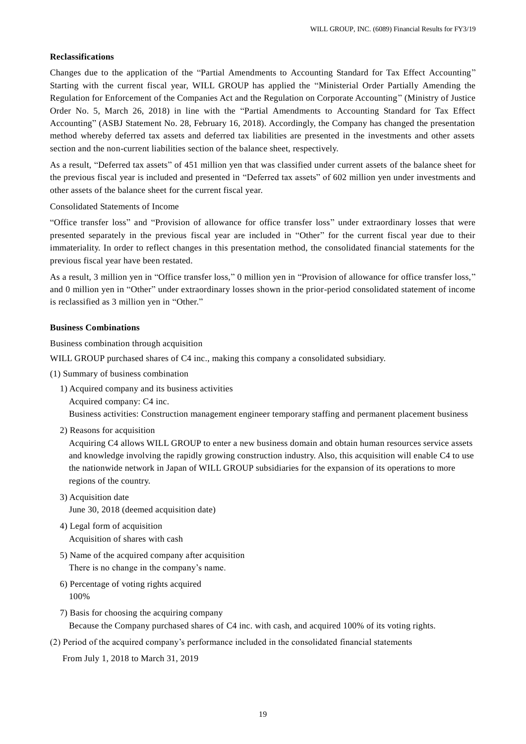#### **Reclassifications**

Changes due to the application of the "Partial Amendments to Accounting Standard for Tax Effect Accounting" Starting with the current fiscal year, WILL GROUP has applied the "Ministerial Order Partially Amending the Regulation for Enforcement of the Companies Act and the Regulation on Corporate Accounting" (Ministry of Justice Order No. 5, March 26, 2018) in line with the "Partial Amendments to Accounting Standard for Tax Effect Accounting" (ASBJ Statement No. 28, February 16, 2018). Accordingly, the Company has changed the presentation method whereby deferred tax assets and deferred tax liabilities are presented in the investments and other assets section and the non-current liabilities section of the balance sheet, respectively.

As a result, "Deferred tax assets" of 451 million yen that was classified under current assets of the balance sheet for the previous fiscal year is included and presented in "Deferred tax assets" of 602 million yen under investments and other assets of the balance sheet for the current fiscal year.

#### Consolidated Statements of Income

"Office transfer loss" and "Provision of allowance for office transfer loss" under extraordinary losses that were presented separately in the previous fiscal year are included in "Other" for the current fiscal year due to their immateriality. In order to reflect changes in this presentation method, the consolidated financial statements for the previous fiscal year have been restated.

As a result, 3 million yen in "Office transfer loss," 0 million yen in "Provision of allowance for office transfer loss," and 0 million yen in "Other" under extraordinary losses shown in the prior-period consolidated statement of income is reclassified as 3 million yen in "Other."

## **Business Combinations**

Business combination through acquisition

WILL GROUP purchased shares of C4 inc., making this company a consolidated subsidiary.

- (1) Summary of business combination
	- 1) Acquired company and its business activities Acquired company: C4 inc.

Business activities: Construction management engineer temporary staffing and permanent placement business

2) Reasons for acquisition

Acquiring C4 allows WILL GROUP to enter a new business domain and obtain human resources service assets and knowledge involving the rapidly growing construction industry. Also, this acquisition will enable C4 to use the nationwide network in Japan of WILL GROUP subsidiaries for the expansion of its operations to more regions of the country.

- 3) Acquisition date June 30, 2018 (deemed acquisition date)
- 4) Legal form of acquisition Acquisition of shares with cash
- 5) Name of the acquired company after acquisition There is no change in the company's name.
- 6) Percentage of voting rights acquired 100%
- 7) Basis for choosing the acquiring company Because the Company purchased shares of C4 inc. with cash, and acquired 100% of its voting rights.
- (2) Period of the acquired company's performance included in the consolidated financial statements

From July 1, 2018 to March 31, 2019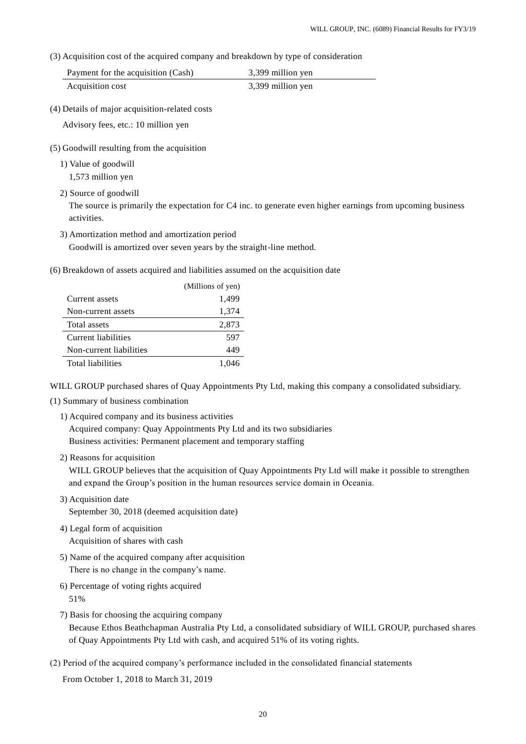(3) Acquisition cost of the acquired company and breakdown by type of consideration

| Payment for the acquisition (Cash) | 3,399 million yen |
|------------------------------------|-------------------|
| Acquisition cost                   | 3,399 million yen |

(4) Details of major acquisition-related costs

Advisory fees, etc.: 10 million yen

- (5) Goodwill resulting from the acquisition
	- 1) Value of goodwill

1,573 million yen

2) Source of goodwill

The source is primarily the expectation for C4 inc. to generate even higher earnings from upcoming business activities.

3) Amortization method and amortization period

Goodwill is amortized over seven years by the straight-line method.

(6) Breakdown of assets acquired and liabilities assumed on the acquisition date

|                          | (Millions of yen) |
|--------------------------|-------------------|
| Current assets           | 1,499             |
| Non-current assets       | 1,374             |
| Total assets             | 2,873             |
| Current liabilities      | 597               |
| Non-current liabilities  | 449               |
| <b>Total liabilities</b> | 1.046             |

WILL GROUP purchased shares of Quay Appointments Pty Ltd, making this company a consolidated subsidiary.

- (1) Summary of business combination
	- 1) Acquired company and its business activities Acquired company: Quay Appointments Pty Ltd and its two subsidiaries Business activities: Permanent placement and temporary staffing
	- 2) Reasons for acquisition

WILL GROUP believes that the acquisition of Quay Appointments Pty Ltd will make it possible to strengthen and expand the Group's position in the human resources service domain in Oceania.

- 3) Acquisition date September 30, 2018 (deemed acquisition date)
- 4) Legal form of acquisition Acquisition of shares with cash
- 5) Name of the acquired company after acquisition There is no change in the company's name.
- 6) Percentage of voting rights acquired 51%
- 7) Basis for choosing the acquiring company

Because Ethos Beathchapman Australia Pty Ltd, a consolidated subsidiary of WILL GROUP, purchased shares of Quay Appointments Pty Ltd with cash, and acquired 51% of its voting rights.

(2) Period of the acquired company's performance included in the consolidated financial statements

From October 1, 2018 to March 31, 2019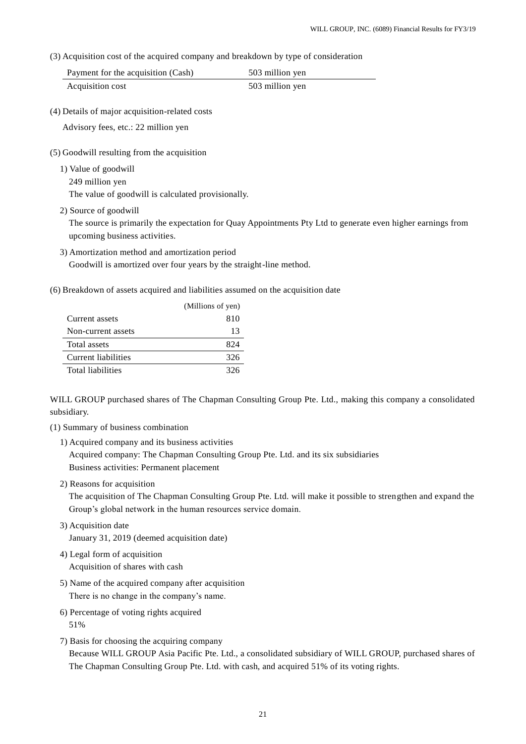(3) Acquisition cost of the acquired company and breakdown by type of consideration

| Payment for the acquisition (Cash) | 503 million yen |
|------------------------------------|-----------------|
| Acquisition cost                   | 503 million yen |

(4) Details of major acquisition-related costs

Advisory fees, etc.: 22 million yen

(5) Goodwill resulting from the acquisition

1) Value of goodwill 249 million yen

The value of goodwill is calculated provisionally.

2) Source of goodwill

The source is primarily the expectation for Quay Appointments Pty Ltd to generate even higher earnings from upcoming business activities.

- 3) Amortization method and amortization period Goodwill is amortized over four years by the straight-line method.
- (6) Breakdown of assets acquired and liabilities assumed on the acquisition date

|                          | (Millions of yen) |
|--------------------------|-------------------|
| Current assets           | 810               |
| Non-current assets       | 13                |
| Total assets             | 824               |
| Current liabilities      | 326               |
| <b>Total liabilities</b> | 326               |

WILL GROUP purchased shares of The Chapman Consulting Group Pte. Ltd., making this company a consolidated subsidiary.

- (1) Summary of business combination
	- 1) Acquired company and its business activities

Acquired company: The Chapman Consulting Group Pte. Ltd. and its six subsidiaries Business activities: Permanent placement

2) Reasons for acquisition

The acquisition of The Chapman Consulting Group Pte. Ltd. will make it possible to strengthen and expand the Group's global network in the human resources service domain.

- 3) Acquisition date January 31, 2019 (deemed acquisition date)
- 4) Legal form of acquisition Acquisition of shares with cash
- 5) Name of the acquired company after acquisition There is no change in the company's name.
- 6) Percentage of voting rights acquired 51%
- 7) Basis for choosing the acquiring company Because WILL GROUP Asia Pacific Pte. Ltd., a consolidated subsidiary of WILL GROUP, purchased shares of The Chapman Consulting Group Pte. Ltd. with cash, and acquired 51% of its voting rights.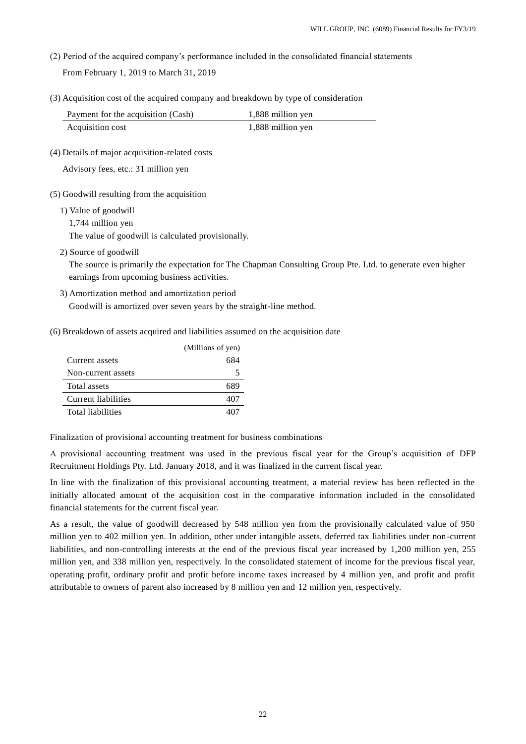(2) Period of the acquired company's performance included in the consolidated financial statements From February 1, 2019 to March 31, 2019

(3) Acquisition cost of the acquired company and breakdown by type of consideration

| Payment for the acquisition (Cash) | 1,888 million yen |
|------------------------------------|-------------------|
| Acquisition cost                   | 1,888 million yen |

(4) Details of major acquisition-related costs

Advisory fees, etc.: 31 million yen

- (5) Goodwill resulting from the acquisition
	- 1) Value of goodwill
		- 1,744 million yen

The value of goodwill is calculated provisionally.

2) Source of goodwill

The source is primarily the expectation for The Chapman Consulting Group Pte. Ltd. to generate even higher earnings from upcoming business activities.

- 3) Amortization method and amortization period Goodwill is amortized over seven years by the straight-line method.
- (6) Breakdown of assets acquired and liabilities assumed on the acquisition date

|                          | (Millions of yen) |
|--------------------------|-------------------|
| Current assets           | 684               |
| Non-current assets       |                   |
| Total assets             | 689               |
| Current liabilities      | 407               |
| <b>Total liabilities</b> |                   |

Finalization of provisional accounting treatment for business combinations

A provisional accounting treatment was used in the previous fiscal year for the Group's acquisition of DFP Recruitment Holdings Pty. Ltd. January 2018, and it was finalized in the current fiscal year.

In line with the finalization of this provisional accounting treatment, a material review has been reflected in the initially allocated amount of the acquisition cost in the comparative information included in the consolidated financial statements for the current fiscal year.

As a result, the value of goodwill decreased by 548 million yen from the provisionally calculated value of 950 million yen to 402 million yen. In addition, other under intangible assets, deferred tax liabilities under non-current liabilities, and non-controlling interests at the end of the previous fiscal year increased by 1,200 million yen, 255 million yen, and 338 million yen, respectively. In the consolidated statement of income for the previous fiscal year, operating profit, ordinary profit and profit before income taxes increased by 4 million yen, and profit and profit attributable to owners of parent also increased by 8 million yen and 12 million yen, respectively.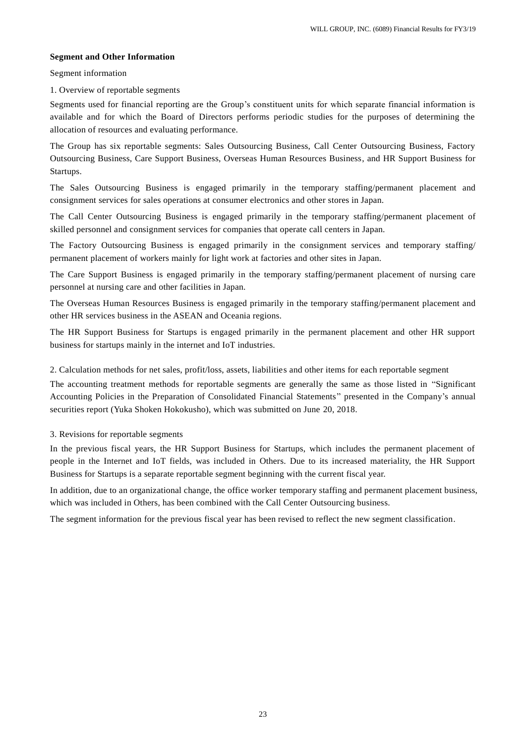# **Segment and Other Information**

Segment information

1. Overview of reportable segments

Segments used for financial reporting are the Group's constituent units for which separate financial information is available and for which the Board of Directors performs periodic studies for the purposes of determining the allocation of resources and evaluating performance.

The Group has six reportable segments: Sales Outsourcing Business, Call Center Outsourcing Business, Factory Outsourcing Business, Care Support Business, Overseas Human Resources Business, and HR Support Business for Startups.

The Sales Outsourcing Business is engaged primarily in the temporary staffing/permanent placement and consignment services for sales operations at consumer electronics and other stores in Japan.

The Call Center Outsourcing Business is engaged primarily in the temporary staffing/permanent placement of skilled personnel and consignment services for companies that operate call centers in Japan.

The Factory Outsourcing Business is engaged primarily in the consignment services and temporary staffing/ permanent placement of workers mainly for light work at factories and other sites in Japan.

The Care Support Business is engaged primarily in the temporary staffing/permanent placement of nursing care personnel at nursing care and other facilities in Japan.

The Overseas Human Resources Business is engaged primarily in the temporary staffing/permanent placement and other HR services business in the ASEAN and Oceania regions.

The HR Support Business for Startups is engaged primarily in the permanent placement and other HR support business for startups mainly in the internet and IoT industries.

2. Calculation methods for net sales, profit/loss, assets, liabilities and other items for each reportable segment

The accounting treatment methods for reportable segments are generally the same as those listed in "Significant Accounting Policies in the Preparation of Consolidated Financial Statements" presented in the Company's annual securities report (Yuka Shoken Hokokusho), which was submitted on June 20, 2018.

3. Revisions for reportable segments

In the previous fiscal years, the HR Support Business for Startups, which includes the permanent placement of people in the Internet and IoT fields, was included in Others. Due to its increased materiality, the HR Support Business for Startups is a separate reportable segment beginning with the current fiscal year.

In addition, due to an organizational change, the office worker temporary staffing and permanent placement business, which was included in Others, has been combined with the Call Center Outsourcing business.

The segment information for the previous fiscal year has been revised to reflect the new segment classification.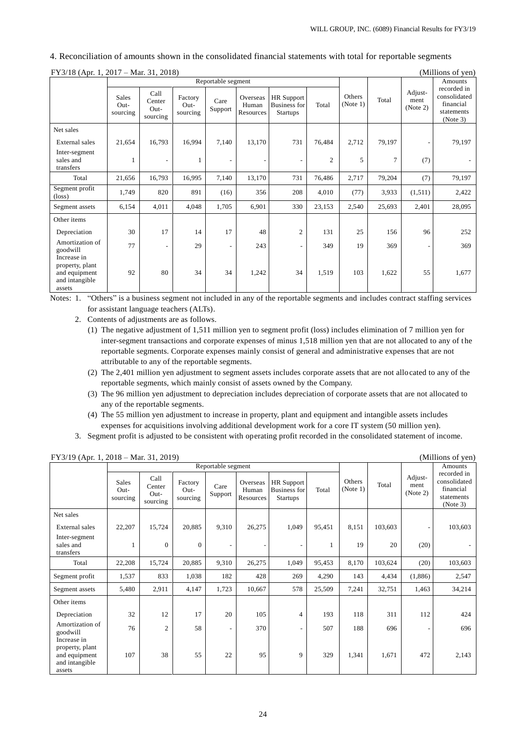| 4. Reconciliation of amounts shown in the consolidated financial statements with total for reportable segments |  |
|----------------------------------------------------------------------------------------------------------------|--|
|----------------------------------------------------------------------------------------------------------------|--|

| $FY3/18$ (Apr. 1, 2017 – Mar. 31, 2018)                                     |                                    |                                    |                               |                          |                                |                                                             | (Millions of yen) |                    |                |                             |                                                                    |
|-----------------------------------------------------------------------------|------------------------------------|------------------------------------|-------------------------------|--------------------------|--------------------------------|-------------------------------------------------------------|-------------------|--------------------|----------------|-----------------------------|--------------------------------------------------------------------|
|                                                                             | Reportable segment                 |                                    |                               |                          |                                |                                                             |                   |                    |                |                             | Amounts                                                            |
|                                                                             | <b>Sales</b><br>$Out-$<br>sourcing | Call<br>Center<br>Out-<br>sourcing | Factory<br>$Out-$<br>sourcing | Care<br>Support          | Overseas<br>Human<br>Resources | <b>HR</b> Support<br><b>Business</b> for<br><b>Startups</b> | Total             | Others<br>(Note 1) | Total          | Adjust-<br>ment<br>(Note 2) | recorded in<br>consolidated<br>financial<br>statements<br>(Note 3) |
| Net sales                                                                   |                                    |                                    |                               |                          |                                |                                                             |                   |                    |                |                             |                                                                    |
| External sales                                                              | 21,654                             | 16,793                             | 16,994                        | 7,140                    | 13,170                         | 731                                                         | 76,484            | 2,712              | 79,197         | -                           | 79,197                                                             |
| Inter-segment<br>sales and<br>transfers                                     | 1                                  |                                    |                               |                          |                                | $\overline{\phantom{a}}$                                    | $\overline{c}$    | 5                  | $\overline{7}$ | (7)                         |                                                                    |
| Total                                                                       | 21,656                             | 16,793                             | 16,995                        | 7,140                    | 13,170                         | 731                                                         | 76,486            | 2,717              | 79,204         | (7)                         | 79,197                                                             |
| Segment profit<br>$(\text{loss})$                                           | 1,749                              | 820                                | 891                           | (16)                     | 356                            | 208                                                         | 4,010             | (77)               | 3,933          | (1,511)                     | 2,422                                                              |
| Segment assets                                                              | 6,154                              | 4,011                              | 4,048                         | 1,705                    | 6,901                          | 330                                                         | 23,153            | 2,540              | 25,693         | 2,401                       | 28,095                                                             |
| Other items                                                                 |                                    |                                    |                               |                          |                                |                                                             |                   |                    |                |                             |                                                                    |
| Depreciation                                                                | 30                                 | 17                                 | 14                            | 17                       | 48                             | $\mathfrak{2}$                                              | 131               | 25                 | 156            | 96                          | 252                                                                |
| Amortization of<br>goodwill                                                 | 77                                 | $\overline{\phantom{a}}$           | 29                            | $\overline{\phantom{a}}$ | 243                            | $\overline{\phantom{a}}$                                    | 349               | 19                 | 369            | $\overline{a}$              | 369                                                                |
| Increase in<br>property, plant<br>and equipment<br>and intangible<br>assets | 92                                 | 80                                 | 34                            | 34                       | 1,242                          | 34                                                          | 1,519             | 103                | 1,622          | 55                          | 1,677                                                              |

Notes: 1. "Others" is a business segment not included in any of the reportable segments and includes contract staffing services for assistant language teachers (ALTs).

- 2. Contents of adjustments are as follows.
	- (1) The negative adjustment of 1,511 million yen to segment profit (loss) includes elimination of 7 million yen for inter-segment transactions and corporate expenses of minus 1,518 million yen that are not allocated to any of the reportable segments. Corporate expenses mainly consist of general and administrative expenses that are not attributable to any of the reportable segments.
	- (2) The 2,401 million yen adjustment to segment assets includes corporate assets that are not allocated to any of the reportable segments, which mainly consist of assets owned by the Company.
	- (3) The 96 million yen adjustment to depreciation includes depreciation of corporate assets that are not allocated to any of the reportable segments.
	- (4) The 55 million yen adjustment to increase in property, plant and equipment and intangible assets includes expenses for acquisitions involving additional development work for a core IT system (50 million yen).
- 3. Segment profit is adjusted to be consistent with operating profit recorded in the consolidated statement of income.

|                                                              |                                  |                                      |                             | Reportable segment |                                |                                                             |        |                    |         |                             | Amounts                                                            |
|--------------------------------------------------------------|----------------------------------|--------------------------------------|-----------------------------|--------------------|--------------------------------|-------------------------------------------------------------|--------|--------------------|---------|-----------------------------|--------------------------------------------------------------------|
|                                                              | <b>Sales</b><br>Out-<br>sourcing | Call<br>Center<br>$Out-$<br>sourcing | Factory<br>Out-<br>sourcing | Care<br>Support    | Overseas<br>Human<br>Resources | <b>HR</b> Support<br><b>Business for</b><br><b>Startups</b> | Total  | Others<br>(Note 1) | Total   | Adjust-<br>ment<br>(Note 2) | recorded in<br>consolidated<br>financial<br>statements<br>(Note 3) |
| Net sales                                                    |                                  |                                      |                             |                    |                                |                                                             |        |                    |         |                             |                                                                    |
| External sales                                               | 22,207                           | 15,724                               | 20,885                      | 9,310              | 26,275                         | 1,049                                                       | 95,451 | 8,151              | 103,603 | $\overline{\phantom{a}}$    | 103,603                                                            |
| Inter-segment<br>sales and<br>transfers                      | -1                               | $\mathbf{0}$                         | $\overline{0}$              | ۰                  |                                | $\overline{\phantom{a}}$                                    | 1      | 19                 | 20      | (20)                        |                                                                    |
| Total                                                        | 22,208                           | 15,724                               | 20,885                      | 9,310              | 26,275                         | 1,049                                                       | 95,453 | 8,170              | 103,624 | (20)                        | 103,603                                                            |
| Segment profit                                               | 1,537                            | 833                                  | 1,038                       | 182                | 428                            | 269                                                         | 4,290  | 143                | 4,434   | (1,886)                     | 2,547                                                              |
| Segment assets                                               | 5,480                            | 2,911                                | 4,147                       | 1,723              | 10,667                         | 578                                                         | 25,509 | 7,241              | 32,751  | 1,463                       | 34,214                                                             |
| Other items                                                  |                                  |                                      |                             |                    |                                |                                                             |        |                    |         |                             |                                                                    |
| Depreciation                                                 | 32                               | 12                                   | 17                          | 20                 | 105                            | $\overline{4}$                                              | 193    | 118                | 311     | 112                         | 424                                                                |
| Amortization of<br>goodwill<br>Increase in                   | 76                               | $\overline{c}$                       | 58                          | ۰                  | 370                            | $\overline{\phantom{a}}$                                    | 507    | 188                | 696     | $\overline{\phantom{a}}$    | 696                                                                |
| property, plant<br>and equipment<br>and intangible<br>assets | 107                              | 38                                   | 55                          | 22                 | 95                             | 9                                                           | 329    | 1,341              | 1,671   | 472                         | 2,143                                                              |

FY3/19 (Apr. 1, 2018 – Mar. 31, 2019) (Millions of yen)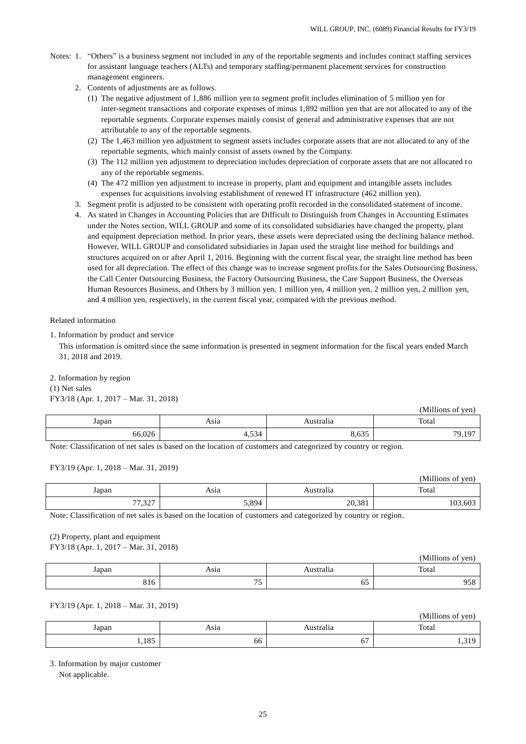$\alpha$  and  $\alpha$  yens

- Notes: 1. "Others" is a business segment not included in any of the reportable segments and includes contract staffing services for assistant language teachers (ALTs) and temporary staffing/permanent placement services for construction management engineers.
	- 2. Contents of adjustments are as follows.
		- (1) The negative adjustment of 1,886 million yen to segment profit includes elimination of 5 million yen for inter-segment transactions and corporate expenses of minus 1,892 million yen that are not allocated to any of the reportable segments. Corporate expenses mainly consist of general and administrative expenses that are not attributable to any of the reportable segments.
		- (2) The 1,463 million yen adjustment to segment assets includes corporate assets that are not allocated to any of the reportable segments, which mainly consist of assets owned by the Company.
		- (3) The 112 million yen adjustment to depreciation includes depreciation of corporate assets that are not allocated t o any of the reportable segments.
		- (4) The 472 million yen adjustment to increase in property, plant and equipment and intangible assets includes expenses for acquisitions involving establishment of renewed IT infrastructure (462 million yen).
	- 3. Segment profit is adjusted to be consistent with operating profit recorded in the consolidated statement of income.
	- 4. As stated in Changes in Accounting Policies that are Difficult to Distinguish from Changes in Accounting Estimates under the Notes section, WILL GROUP and some of its consolidated subsidiaries have changed the property, plant and equipment depreciation method. In prior years, these assets were depreciated using the declining balance method. However, WILL GROUP and consolidated subsidiaries in Japan used the straight line method for buildings and structures acquired on or after April 1, 2016. Beginning with the current fiscal year, the straight line method has been used for all depreciation. The effect of this change was to increase segment profits for the Sales Outsourcing Business, the Call Center Outsourcing Business, the Factory Outsourcing Business, the Care Support Business, the Overseas Human Resources Business, and Others by 3 million yen, 1 million yen, 4 million yen, 2 million yen, 2 million yen, and 4 million yen, respectively, in the current fiscal year, compared with the previous method.

#### Related information

1. Information by product and service

This information is omitted since the same information is presented in segment information for the fiscal years ended March 31, 2018 and 2019.

2. Information by region

(1) Net sales FY3/18 (Apr. 1, 2017 – Mar. 31, 2018)

| . .    |                               |           | (Millions of yen) |
|--------|-------------------------------|-----------|-------------------|
| Japan  | Asia                          | Australia | Total             |
| 66,026 | $\sim$ $\sim$ $\sim$<br>4,534 | 8,635     | 79,197            |

Note: Classification of net sales is based on the location of customers and categorized by country or region.

## FY3/19 (Apr. 1, 2018 – Mar. 31, 2019)

|                        |       |                              | (Millions of yen) |
|------------------------|-------|------------------------------|-------------------|
| Japan                  | Asia  | $\cdot$ $\cdot$<br>Australia | Total             |
| 227<br>77<br>، ، ∠د, ، | 5,894 | 20,381                       | 103,603           |

Note: Classification of net sales is based on the location of customers and categorized by country or region.

## (2) Property, plant and equipment FY3/18 (Apr. 1, 2017 – Mar. 31, 2018)

|            |                                            |           | (Millions<br>of yen) |
|------------|--------------------------------------------|-----------|----------------------|
| Japan      | Asıa                                       | Australia | Total                |
| 01<<br>910 | $\overline{a}$<br>$\overline{\phantom{a}}$ | υJ        | 059<br><i>,,</i> ,   |

### FY3/19 (Apr. 1, 2018 – Mar. 31, 2019)

|              |      |           | (TVITHIOUS OF YELL) |
|--------------|------|-----------|---------------------|
| Japan        | Asia | \ustralıa | Total               |
| 105<br>1,102 | 66   | --<br>о.  | 210<br>ر 1 بي 1     |

3. Information by major customer

Not applicable.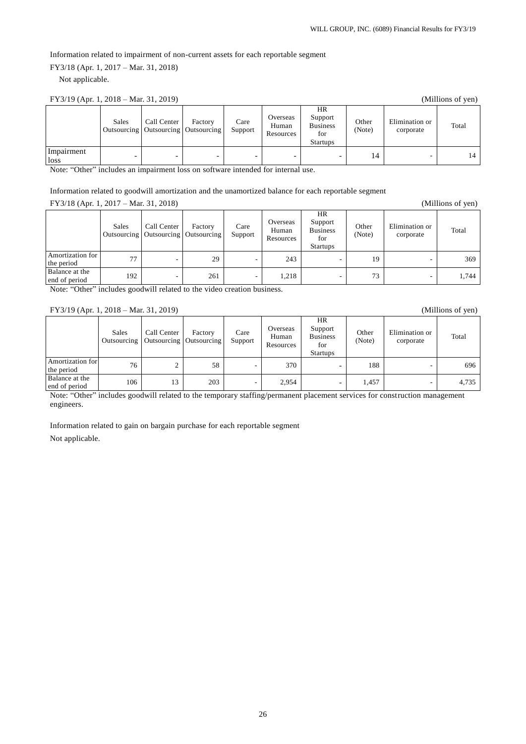Information related to impairment of non-current assets for each reportable segment

FY3/18 (Apr. 1, 2017 – Mar. 31, 2018)

Not applicable.

| FY3/19 (Apr. 1, 2018 – Mar. 31, 2019)<br>(Millions of yen) |              |             |                                                    |                 |                                |                                                            |                 |                             |       |
|------------------------------------------------------------|--------------|-------------|----------------------------------------------------|-----------------|--------------------------------|------------------------------------------------------------|-----------------|-----------------------------|-------|
|                                                            | <b>Sales</b> | Call Center | Factory<br>Outsourcing   Outsourcing   Outsourcing | Care<br>Support | Overseas<br>Human<br>Resources | HR<br>Support<br><b>Business</b><br>for<br><b>Startups</b> | Other<br>(Note) | Elimination or<br>corporate | Total |
| Impairment<br>loss<br>$\cdots$ $\cdots$                    |              | -           | $\sim$                                             | -               | .                              | -                                                          | 14              |                             |       |

Note: "Other" includes an impairment loss on software intended for internal use.

Information related to goodwill amortization and the unamortized balance for each reportable segment

FY3/18 (Apr. 1, 2017 – Mar. 31, 2018) (Millions of yen)

|                                 | Sales | Call Center<br>Outsourcing   Outsourcing   Outsourcing | Factory | Care<br>Support | Overseas<br>Human<br>Resources | <b>HR</b><br>Support<br><b>Business</b><br>for<br><b>Startups</b> | Other<br>(Note) | Elimination or<br>corporate | Total |
|---------------------------------|-------|--------------------------------------------------------|---------|-----------------|--------------------------------|-------------------------------------------------------------------|-----------------|-----------------------------|-------|
| Amortization for<br>the period  | 77    | ۰.                                                     | 29      | -               | 243                            | -                                                                 | 19              |                             | 369   |
| Balance at the<br>end of period | 192   | ۰                                                      | 261     | -               | 1,218                          | -                                                                 | 73              |                             | 1,744 |

Note: "Other" includes goodwill related to the video creation business.

#### FY3/19 (Apr. 1, 2018 – Mar. 31, 2019) (Millions of yen)

|                                 | Sales | Call Center<br>Outsourcing   Outsourcing   Outsourcing | Factory | Care<br>Support | Overseas<br>Human<br>Resources | <b>HR</b><br>Support<br><b>Business</b><br>for<br><b>Startups</b> | Other<br>(Note) | Elimination or<br>corporate | Total |
|---------------------------------|-------|--------------------------------------------------------|---------|-----------------|--------------------------------|-------------------------------------------------------------------|-----------------|-----------------------------|-------|
| Amortization for<br>the period  | 76    | ∠                                                      | 58      | -               | 370                            | $\overline{\phantom{0}}$                                          | 188             | -                           | 696   |
| Balance at the<br>end of period | 106   | 13                                                     | 203     | -               | 2,954                          | $\overline{\phantom{0}}$                                          | 1,457           | -                           | 4,735 |

Note: "Other" includes goodwill related to the temporary staffing/permanent placement services for construction management engineers.

Information related to gain on bargain purchase for each reportable segment

Not applicable.

26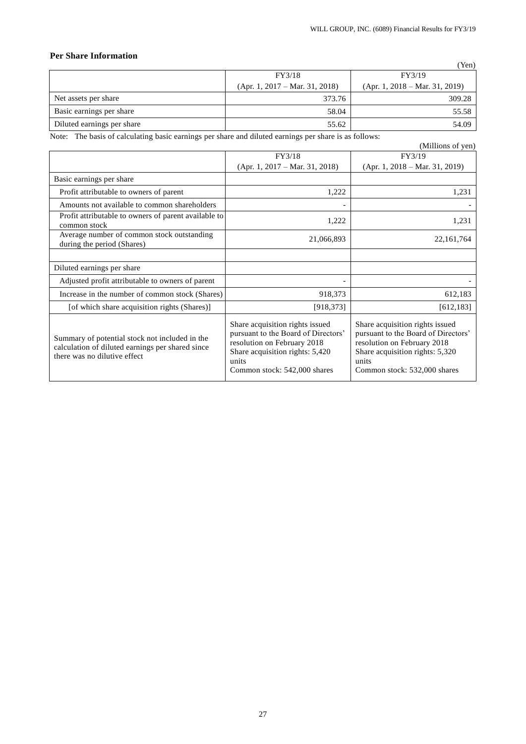# **Per Share Information**

|                            |                                  | (Yen)                            |
|----------------------------|----------------------------------|----------------------------------|
|                            | FY3/18                           | FY3/19                           |
|                            | $(Apr. 1, 2017 - Mar. 31, 2018)$ | $(Apr. 1, 2018 - Mar. 31, 2019)$ |
| Net assets per share       | 373.76                           | 309.28                           |
| Basic earnings per share   | 58.04                            | 55.58                            |
| Diluted earnings per share | 55.62                            | 54.09                            |

Note: The basis of calculating basic earnings per share and diluted earnings per share is as follows:

|                                                                                                                                    | <u>cace</u> carmings per since and circles carmings per since is as rome                                                                                                          | (Millions of yen)                                                                                                                                                                 |
|------------------------------------------------------------------------------------------------------------------------------------|-----------------------------------------------------------------------------------------------------------------------------------------------------------------------------------|-----------------------------------------------------------------------------------------------------------------------------------------------------------------------------------|
|                                                                                                                                    | FY3/18                                                                                                                                                                            | FY3/19                                                                                                                                                                            |
|                                                                                                                                    | $(Apr. 1, 2017 - Mar. 31, 2018)$                                                                                                                                                  | $(Apr. 1, 2018 - Mar. 31, 2019)$                                                                                                                                                  |
| Basic earnings per share                                                                                                           |                                                                                                                                                                                   |                                                                                                                                                                                   |
| Profit attributable to owners of parent                                                                                            | 1,222                                                                                                                                                                             | 1,231                                                                                                                                                                             |
| Amounts not available to common shareholders                                                                                       |                                                                                                                                                                                   |                                                                                                                                                                                   |
| Profit attributable to owners of parent available to<br>common stock                                                               | 1,222                                                                                                                                                                             | 1,231                                                                                                                                                                             |
| Average number of common stock outstanding<br>during the period (Shares)                                                           | 21,066,893                                                                                                                                                                        | 22,161,764                                                                                                                                                                        |
|                                                                                                                                    |                                                                                                                                                                                   |                                                                                                                                                                                   |
| Diluted earnings per share                                                                                                         |                                                                                                                                                                                   |                                                                                                                                                                                   |
| Adjusted profit attributable to owners of parent                                                                                   |                                                                                                                                                                                   |                                                                                                                                                                                   |
| Increase in the number of common stock (Shares)                                                                                    | 918,373                                                                                                                                                                           | 612,183                                                                                                                                                                           |
| [of which share acquisition rights (Shares)]                                                                                       | [918, 373]                                                                                                                                                                        | [612, 183]                                                                                                                                                                        |
| Summary of potential stock not included in the<br>calculation of diluted earnings per shared since<br>there was no dilutive effect | Share acquisition rights issued<br>pursuant to the Board of Directors'<br>resolution on February 2018<br>Share acquisition rights: 5,420<br>units<br>Common stock: 542,000 shares | Share acquisition rights issued<br>pursuant to the Board of Directors'<br>resolution on February 2018<br>Share acquisition rights: 5,320<br>units<br>Common stock: 532,000 shares |